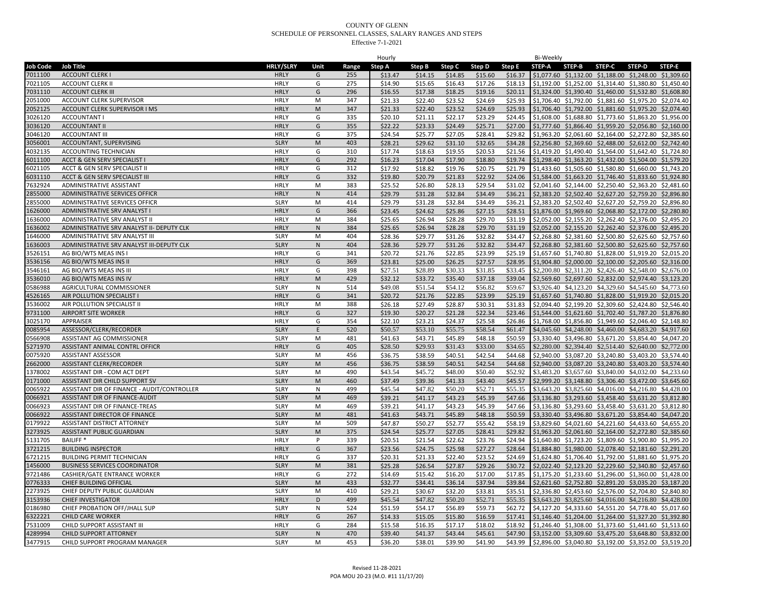|          |                                             |                  |              |       | Hourly             |                    |         |                    |         | Bi-Weekly |                                                                |        |        |               |
|----------|---------------------------------------------|------------------|--------------|-------|--------------------|--------------------|---------|--------------------|---------|-----------|----------------------------------------------------------------|--------|--------|---------------|
| Job Code | <b>Job Title</b>                            | <b>HRLY/SLRY</b> | Unit         | Range | Step A             | Step B             | Step C  | Step D             | Step E  | STEP-A    | STEP-B                                                         | STEP-C | STEP-D | <b>STEP-E</b> |
| 7011100  | <b>ACCOUNT CLERK I</b>                      | <b>HRLY</b>      | G            | 255   | \$13.47            | \$14.15            | \$14.85 | \$15.60            | \$16.37 |           | \$1,077.60 \$1,132.00 \$1,188.00 \$1,248.00 \$1,309.60         |        |        |               |
| 7021105  | <b>ACCOUNT CLERK II</b>                     | <b>HRLY</b>      | G            | 275   | \$14.90            | \$15.65            | \$16.43 | \$17.26            | \$18.13 |           | \$1,192.00 \$1,252.00 \$1,314.40 \$1,380.80 \$1,450.40         |        |        |               |
| 7031110  | <b>ACCOUNT CLERK III</b>                    | <b>HRLY</b>      | G            | 296   | \$16.55            | \$17.38            | \$18.25 | \$19.16            | \$20.11 |           | \$1,324.00 \$1,390.40 \$1,460.00 \$1,532.80 \$1,608.80         |        |        |               |
| 2051000  | ACCOUNT CLERK SUPERVISOR                    | HRLY             | M            | 347   | \$21.33            | \$22.40            | \$23.52 | \$24.69            | \$25.93 |           | \$1,706.40 \$1,792.00 \$1,881.60 \$1,975.20 \$2,074.40         |        |        |               |
| 2052125  | ACCOUNT CLERK SUPERVISOR I MS               | <b>HRLY</b>      | M            | 347   | \$21.33            | \$22.40            | \$23.52 | \$24.69            | \$25.93 |           | \$1,706.40 \$1,792.00 \$1,881.60 \$1,975.20 \$2,074.40         |        |        |               |
| 3026120  | <b>ACCOUNTANT I</b>                         | <b>HRLY</b>      | G            | 335   | \$20.10            | \$21.11            | \$22.17 | \$23.29            | \$24.45 |           | \$1,608.00 \$1,688.80 \$1,773.60 \$1,863.20 \$1,956.00         |        |        |               |
| 3036120  | <b>ACCOUNTANT II</b>                        | <b>HRLY</b>      | G            | 355   | \$22.22            | \$23.33            | \$24.49 | \$25.71            | \$27.00 |           | \$1,777.60 \$1,866.40 \$1,959.20 \$2,056.80 \$2,160.00         |        |        |               |
| 3046120  | <b>ACCOUNTANT III</b>                       | <b>HRLY</b>      | G            | 375   | \$24.54            | \$25.77            | \$27.05 | \$28.41            | \$29.82 |           | \$1,963.20 \$2,061.60 \$2,164.00 \$2,272.80 \$2,385.60         |        |        |               |
| 3056001  | ACCOUNTANT, SUPERVISING                     | <b>SLRY</b>      | $\mathsf{M}$ | 403   | \$28.21            | \$29.62            | \$31.10 | \$32.65            | \$34.28 |           | \$2,256.80 \$2,369.60 \$2,488.00 \$2,612.00 \$2,742.40         |        |        |               |
|          |                                             |                  |              |       |                    |                    |         |                    |         |           |                                                                |        |        |               |
| 4032135  | ACCOUNTING TECHNICIAN                       | <b>HRLY</b>      | G            | 310   | \$17.74            | \$18.63            | \$19.55 | \$20.53            | \$21.56 |           | \$1,419.20 \$1,490.40 \$1,564.00 \$1,642.40 \$1,724.80         |        |        |               |
| 6011100  | ACCT & GEN SERV SPECIALIST I                | <b>HRLY</b>      | G            | 292   | \$16.23            | \$17.04            | \$17.90 | \$18.80            | \$19.74 |           | \$1,298.40 \$1,363.20 \$1,432.00 \$1,504.00 \$1,579.20         |        |        |               |
| 6021105  | ACCT & GEN SERV SPECIALIST II               | <b>HRLY</b>      | G            | 312   | \$17.92            | \$18.82            | \$19.76 | \$20.75            | \$21.79 |           | \$1,433.60 \$1,505.60 \$1,580.80 \$1,660.00 \$1,743.20         |        |        |               |
| 6031110  | ACCT & GEN SERV SPECIALIST III              | <b>HRLY</b>      | G            | 332   | \$19.80            | \$20.79            | \$21.83 | \$22.92            | \$24.06 |           | \$1,584.00 \$1,663.20 \$1,746.40 \$1,833.60 \$1,924.80         |        |        |               |
| 7632924  | ADMINISTRATIVE ASSISTANT                    | <b>HRLY</b>      | M            | 383   | \$25.52            | \$26.80            | \$28.13 | \$29.54            | \$31.02 |           | \$2,041.60 \$2,144.00 \$2,250.40 \$2,363.20 \$2,481.60         |        |        |               |
| 2855000  | ADMINISTRATIVE SERVICES OFFICR              | <b>HRLY</b>      | N            | 414   | \$29.79            | \$31.28            | \$32.84 | \$34.49            | \$36.21 |           | \$2,383.20 \$2,502.40 \$2,627.20 \$2,759.20 \$2,896.80         |        |        |               |
| 2855000  | ADMINISTRATIVE SERVICES OFFICR              | <b>SLRY</b>      | M            | 414   | \$29.79            | \$31.28            | \$32.84 | \$34.49            | \$36.21 |           | \$2,383.20 \$2,502.40 \$2,627.20 \$2,759.20 \$2,896.80         |        |        |               |
| 1626000  | ADMINISTRATIVE SRV ANALYST                  | <b>HRLY</b>      | G            | 366   | \$23.45            | \$24.62            | \$25.86 | \$27.15            | \$28.51 |           | \$1,876.00 \$1,969.60 \$2,068.80 \$2,172.00 \$2,280.80         |        |        |               |
| 1636000  | ADMINISTRATIVE SRV ANALYST II               | <b>HRLY</b>      | M            | 384   | \$25.65            | \$26.94            | \$28.28 | \$29.70            | \$31.19 |           | \$2,052.00 \$2,155.20 \$2,262.40 \$2,376.00 \$2,495.20         |        |        |               |
| 1636002  | ADMINISTRATIVE SRV ANALYST II- DEPUTY CLK   | <b>HRLY</b>      | $\mathsf{N}$ | 384   | \$25.65            | \$26.94            | \$28.28 | \$29.70            | \$31.19 |           | \$2,052.00 \$2,155.20 \$2,262.40 \$2,376.00 \$2,495.20         |        |        |               |
| 1646000  | ADMINISTRATIVE SRV ANALYST III              | <b>SLRY</b>      | M            | 404   | \$28.36            | \$29.77            | \$31.26 | \$32.82            | \$34.47 |           | \$2,268.80 \$2,381.60 \$2,500.80 \$2,625.60 \$2,757.60         |        |        |               |
| 1636003  | ADMINISTRATIVE SRV ANALYST III-DEPUTY CLK   | <b>SLRY</b>      | $\mathsf{N}$ | 404   | \$28.36            | \$29.77            | \$31.26 | \$32.82            | \$34.47 |           | \$2,268.80 \$2,381.60 \$2,500.80 \$2,625.60 \$2,757.60         |        |        |               |
| 3526151  | AG BIO/WTS MEAS INS I                       | <b>HRLY</b>      | G            | 341   | \$20.72            | \$21.76            | \$22.85 | \$23.99            | \$25.19 |           | \$1,657.60 \$1,740.80 \$1,828.00 \$1,919.20 \$2,015.20         |        |        |               |
| 3536156  | AG BIO/WTS MEAS INS II                      | <b>HRLY</b>      | G            | 369   | \$23.81            | \$25.00            | \$26.25 | \$27.57            | \$28.95 |           | \$1,904.80 \$2,000.00 \$2,100.00 \$2,205.60 \$2,316.00         |        |        |               |
| 3546161  | AG BIO/WTS MEAS INS III                     | <b>HRLY</b>      | G            | 398   | \$27.51            | \$28.89            | \$30.33 | \$31.85            | \$33.45 |           | \$2,200.80 \$2,311.20 \$2,426.40 \$2,548.00 \$2,676.00         |        |        |               |
| 3536010  | AG BIO/WTS MEAS INS IV                      | <b>HRLY</b>      | M            | 429   | \$32.12            | \$33.72            | \$35.40 | \$37.18            | \$39.04 |           | \$2,569.60 \$2,697.60 \$2,832.00 \$2,974.40 \$3,123.20         |        |        |               |
| 0586988  | AGRICULTURAL COMMISSIONER                   | <b>SLRY</b>      | N            | 514   | \$49.08            | \$51.54            | \$54.12 | \$56.82            | \$59.67 |           | \$3,926.40 \$4,123.20 \$4,329.60 \$4,545.60 \$4,773.60         |        |        |               |
| 4526165  | AIR POLLUTION SPECIALIST                    | <b>HRLY</b>      | G            | 341   | \$20.72            | \$21.76            | \$22.85 | \$23.99            | \$25.19 |           | \$1,657.60 \$1,740.80 \$1,828.00 \$1,919.20 \$2,015.20         |        |        |               |
| 3536002  | AIR POLLUTION SPECIALIST II                 | <b>HRLY</b>      | M            | 388   | \$26.18            | \$27.49            | \$28.87 | \$30.31            | \$31.83 |           | \$2,094.40 \$2,199.20 \$2,309.60 \$2,424.80 \$2,546.40         |        |        |               |
| 9731100  | <b>AIRPORT SITE WORKER</b>                  | <b>HRLY</b>      | G            | 327   | \$19.30            | \$20.27            | \$21.28 | \$22.34            | \$23.46 |           | \$1,544.00 \$1,621.60 \$1,702.40 \$1,787.20 \$1,876.80         |        |        |               |
| 3025170  | APPRAISER                                   | <b>HRLY</b>      | G            | 354   | \$22.10            | \$23.21            | \$24.37 | \$25.58            | \$26.86 |           | \$1,768.00 \$1,856.80 \$1,949.60 \$2,046.40 \$2,148.80         |        |        |               |
| 0085954  | ASSESSOR/CLERK/RECORDER                     | <b>SLRY</b>      | E            | 520   | \$50.57            | \$53.10            | \$55.75 | \$58.54            | \$61.47 |           | \$4,045.60 \$4,248.00 \$4,460.00 \$4,683.20 \$4,917.60         |        |        |               |
| 0566908  | ASSISTANT AG COMMISSIONER                   | <b>SLRY</b>      | M            | 481   | \$41.63            | \$43.71            | \$45.89 | \$48.18            | \$50.59 |           | \$3,330.40 \$3,496.80 \$3,671.20 \$3,854.40 \$4,047.20         |        |        |               |
| 5271970  | ASSISTANT ANIMAL CONTRL OFFICR              | <b>HRLY</b>      | G            | 405   | \$28.50            | \$29.93            | \$31.43 | \$33.00            | \$34.65 |           | \$2,280.00 \$2,394.40 \$2,514.40 \$2,640.00 \$2,772.00         |        |        |               |
| 0075920  | ASSISTANT ASSESSOR                          | <b>SLRY</b>      | M            | 456   | \$36.75            | \$38.59            | \$40.51 | \$42.54            | \$44.68 |           | \$2,940.00 \$3,087.20 \$3,240.80 \$3,403.20 \$3,574.40         |        |        |               |
|          |                                             |                  |              |       |                    |                    | \$40.51 | \$42.54            | \$44.68 |           |                                                                |        |        |               |
| 2662000  | ASSISTANT CLERK/RECORDER                    | <b>SLRY</b>      | M            | 456   | \$36.75<br>\$43.54 | \$38.59<br>\$45.72 | \$48.00 | \$50.40            | \$52.92 |           | \$2,940.00 \$3,087.20 \$3,240.80 \$3,403.20 \$3,574.40         |        |        |               |
| 1378002  | ASSISTANT DIR - COM ACT DEPT                | <b>SLRY</b>      | M<br>M       | 490   |                    |                    |         |                    |         |           | \$3,483.20 \$3,657.60 \$3,840.00 \$4,032.00 \$4,233.60         |        |        |               |
| 0171000  | ASSISTANT DIR CHILD SUPPORT SV              | <b>SLRY</b>      |              | 460   | \$37.49            | \$39.36            | \$41.33 | \$43.40<br>\$52.71 | \$45.57 |           | \$2,999.20 \$3,148.80 \$3,306.40 \$3,472.00 \$3,645.60         |        |        |               |
| 0065922  | ASSISTANT DIR OF FINANCE - AUDIT/CONTROLLER | <b>SLRY</b>      | N            | 499   | \$45.54            | \$47.82            | \$50.20 |                    | \$55.35 |           | \$3,643.20 \$3,825.60 \$4,016.00 \$4,216.80 \$4,428.00         |        |        |               |
| 0066921  | ASSISTANT DIR OF FINANCE-AUDIT              | <b>SLRY</b>      | M            | 469   | \$39.21            | \$41.17            | \$43.23 | \$45.39            | \$47.66 |           | \$3,136.80 \$3,293.60 \$3,458.40 \$3,631.20 \$3,812.80         |        |        |               |
| 0066923  | ASSISTANT DIR OF FINANCE-TREAS              | <b>SLRY</b>      | M            | 469   | \$39.21            | \$41.17            | \$43.23 | \$45.39            | \$47.66 |           | \$3,136.80 \$3,293.60 \$3,458.40 \$3,631.20 \$3,812.80         |        |        |               |
| 0066922  | ASSISTANT DIRECTOR OF FINANCE               | <b>SLRY</b>      | M            | 481   | \$41.63            | \$43.71            | \$45.89 | \$48.18            | \$50.59 |           | \$3,330.40 \$3,496.80 \$3,671.20 \$3,854.40 \$4,047.20         |        |        |               |
| 0179922  | <b>ASSISTANT DISTRICT ATTORNEY</b>          | <b>SLRY</b>      | M            | 509   | \$47.87            | \$50.27            | \$52.77 | \$55.42            | \$58.19 |           | \$3,829.60 \$4,021.60 \$4,221.60 \$4,433.60 \$4,655.20         |        |        |               |
| 3273925  | ASSISTANT PUBLIC GUARDIAN                   | <b>SLRY</b>      | M            | 375   | \$24.54            | \$25.77            | \$27.05 | \$28.41            | \$29.82 |           | \$1,963.20 \$2,061.60 \$2,164.00 \$2,272.80 \$2,385.60         |        |        |               |
| 5131705  | <b>BAILIFF*</b>                             | <b>HRLY</b>      | P            | 339   | \$20.51            | \$21.54            | \$22.62 | \$23.76            | \$24.94 |           | \$1,640.80 \$1,723.20 \$1,809.60 \$1,900.80 \$1,995.20         |        |        |               |
| 3721215  | <b>BUILDING INSPECTOR</b>                   | <b>HRLY</b>      | G            | 367   | \$23.56            | \$24.75            | \$25.98 | \$27.27            | \$28.64 |           | \$1,884.80 \$1,980.00 \$2,078.40 \$2,181.60 \$2,291.20         |        |        |               |
| 6721215  | <b>BUILDING PERMIT TECHNICIAN</b>           | HRLY             | G            | 337   | \$20.31            | \$21.33            | \$22.40 | \$23.52            | \$24.69 |           | \$1,624.80 \$1,706.40 \$1,792.00 \$1,881.60 \$1,975.20         |        |        |               |
| 1456000  | <b>BUSINESS SERVICES COORDINATOR</b>        | <b>SLRY</b>      | M            | 381   | \$25.28            | \$26.54            | \$27.87 | \$29.26            | \$30.72 |           | \$2,022.40 \$2,123.20 \$2,229.60 \$2,340.80 \$2,457.60         |        |        |               |
| 9721486  | CASHIER/GATE ENTRANCE WORKER                | <b>HRLY</b>      | G            | 272   | \$14.69            | \$15.42            | \$16.20 | \$17.00            | \$17.85 |           | \$1,175.20 \$1,233.60 \$1,296.00 \$1,360.00 \$1,428.00         |        |        |               |
| 0776333  | CHIEF BUILDING OFFICIAL                     | <b>SLRY</b>      | M            | 433   | \$32.77            | \$34.41            | \$36.14 | \$37.94            | \$39.84 |           | \$2,621.60 \$2,752.80 \$2,891.20 \$3,035.20 \$3,187.20         |        |        |               |
| 2273925  | CHIEF DEPUTY PUBLIC GUARDIAN                | <b>SLRY</b>      | M            | 410   | \$29.21            | \$30.67            | \$32.20 | \$33.81            | \$35.51 |           | \$2,336.80 \$2,453.60 \$2,576.00 \$2,704.80 \$2,840.80         |        |        |               |
| 3153936  | <b>CHIEF INVESTIGATOR</b>                   | <b>HRLY</b>      | D            | 499   | \$45.54            | \$47.82            | \$50.20 | \$52.71            | \$55.35 |           | \$3,643.20 \$3,825.60 \$4,016.00 \$4,216.80 \$4,428.00         |        |        |               |
| 0186980  | CHIEF PROBATION OFF/JHALL SUP               | <b>SLRY</b>      | N            | 524   | \$51.59            | \$54.17            | \$56.89 | \$59.73            | \$62.72 |           | \$4,127.20 \$4,333.60 \$4,551.20 \$4,778.40 \$5,017.60         |        |        |               |
| 6322221  | <b>CHILD CARE WORKER</b>                    | <b>HRLY</b>      | G            | 267   | \$14.33            | \$15.05            | \$15.80 | \$16.59            | \$17.41 |           | \$1,146.40 \$1,204.00 \$1,264.00 \$1,327.20 \$1,392.80         |        |        |               |
| 7531009  | CHILD SUPPORT ASSISTANT III                 | <b>HRLY</b>      | G            | 284   | \$15.58            | \$16.35            | \$17.17 | \$18.02            | \$18.92 |           | \$1,246.40 \$1,308.00 \$1,373.60 \$1,441.60 \$1,513.60         |        |        |               |
| 4289994  | CHILD SUPPORT ATTORNEY                      | <b>SLRY</b>      | ${\sf N}$    | 470   | \$39.40            | \$41.37            | \$43.44 | \$45.61            | \$47.90 |           | \$3,152.00 \$3,309.60 \$3,475.20 \$3,648.80 \$3,832.00         |        |        |               |
| 3477915  | CHILD SUPPORT PROGRAM MANAGER               | <b>SLRY</b>      | M            | 453   | \$36.20            | \$38.01            | \$39.90 | \$41.90            |         |           | \$43.99 \$2,896.00 \$3,040.80 \$3,192.00 \$3,352.00 \$3,519.20 |        |        |               |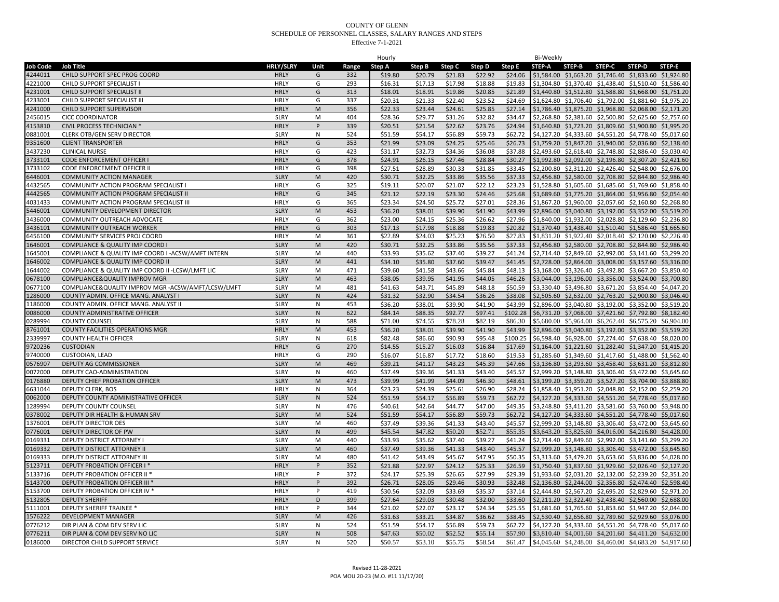|                 |                                                    |                  |              |       | Hourly  |         |         |         |          | Bi-Weekly |                                                        |               |               |                                                                |
|-----------------|----------------------------------------------------|------------------|--------------|-------|---------|---------|---------|---------|----------|-----------|--------------------------------------------------------|---------------|---------------|----------------------------------------------------------------|
| <b>Job Code</b> | <b>Job Title</b>                                   | <b>HRLY/SLRY</b> | Unit         | Range | Step A  | Step B  | Step C  | Step D  | Step E   | STEP-A    | STEP-B                                                 | <b>STEP-C</b> | <b>STEP-D</b> | STEP-E                                                         |
| 4244011         | CHILD SUPPORT SPEC PROG COORD                      | <b>HRLY</b>      | G            | 332   | \$19.80 | \$20.79 | \$21.83 | \$22.92 | \$24.06  |           |                                                        |               |               | \$1,584.00 \$1,663.20 \$1,746.40 \$1,833.60 \$1,924.80         |
| 4221000         | CHILD SUPPORT SPECIALIST I                         | <b>HRLY</b>      | G            | 293   | \$16.31 | \$17.13 | \$17.98 | \$18.88 | \$19.83  |           |                                                        |               |               | \$1,304.80 \$1,370.40 \$1,438.40 \$1,510.40 \$1,586.40         |
| 4231001         | CHILD SUPPORT SPECIALIST II                        | <b>HRLY</b>      | G            | 313   | \$18.01 | \$18.91 | \$19.86 | \$20.85 | \$21.89  |           |                                                        |               |               | \$1,440.80 \$1,512.80 \$1,588.80 \$1,668.00 \$1,751.20         |
| 4233001         | CHILD SUPPORT SPECIALIST III                       | <b>HRLY</b>      | G            | 337   | \$20.31 | \$21.33 | \$22.40 | \$23.52 | \$24.69  |           |                                                        |               |               | \$1,624.80 \$1,706.40 \$1,792.00 \$1,881.60 \$1,975.20         |
| 4241000         | CHILD SUPPORT SUPERVISOR                           | <b>HRLY</b>      | M            | 356   | \$22.33 | \$23.44 | \$24.61 | \$25.85 | \$27.14  |           | \$1,786.40 \$1,875.20 \$1,968.80 \$2,068.00 \$2,171.20 |               |               |                                                                |
| 2456015         | <b>CICC COORDINATOR</b>                            | <b>SLRY</b>      | M            | 404   | \$28.36 | \$29.77 | \$31.26 | \$32.82 | \$34.47  |           |                                                        |               |               | \$2,268.80 \$2,381.60 \$2,500.80 \$2,625.60 \$2,757.60         |
| 4153810         | CIVIL PROCESS TECHNICIAN *                         | <b>HRLY</b>      | P            | 339   | \$20.51 | \$21.54 | \$22.62 | \$23.76 | \$24.94  |           |                                                        |               |               | \$1,640.80 \$1,723.20 \$1,809.60 \$1,900.80 \$1,995.20         |
| 0881001         | <b>CLERK OTB/GEN SERV DIRECTOR</b>                 | <b>SLRY</b>      | N            | 524   | \$51.59 | \$54.17 | \$56.89 | \$59.73 | \$62.72  |           |                                                        |               |               | \$4,127.20 \$4,333.60 \$4,551.20 \$4,778.40 \$5,017.60         |
| 9351600         |                                                    |                  | G            |       | \$21.99 |         | \$24.25 | \$25.46 | \$26.73  |           |                                                        |               |               | \$1,759.20 \$1,847.20 \$1,940.00 \$2,036.80 \$2,138.40         |
|                 | <b>CLIENT TRANSPORTER</b>                          | <b>HRLY</b>      |              | 353   |         | \$23.09 |         |         |          |           |                                                        |               |               |                                                                |
| 3437230         | <b>CLINICAL NURSE</b>                              | <b>HRLY</b>      | G            | 423   | \$31.17 | \$32.73 | \$34.36 | \$36.08 | \$37.88  |           |                                                        |               |               | \$2,493.60 \$2,618.40 \$2,748.80 \$2,886.40 \$3,030.40         |
| 3733101         | CODE ENFORCEMENT OFFICER I                         | <b>HRLY</b>      | G            | 378   | \$24.91 | \$26.15 | \$27.46 | \$28.84 | \$30.27  |           |                                                        |               |               | \$1,992.80 \$2,092.00 \$2,196.80 \$2,307.20 \$2,421.60         |
| 3733102         | CODE ENFORCEMENT OFFICER II                        | <b>HRLY</b>      | G            | 398   | \$27.51 | \$28.89 | \$30.33 | \$31.85 | \$33.45  |           | \$2,200.80 \$2,311.20 \$2,426.40 \$2,548.00 \$2,676.00 |               |               |                                                                |
| 6446001         | <b>COMMUNITY ACTION MANAGER</b>                    | <b>SLRY</b>      | M            | 420   | \$30.71 | \$32.25 | \$33.86 | \$35.56 | \$37.33  |           |                                                        |               |               | \$2,456.80 \$2,580.00 \$2,708.80 \$2,844.80 \$2,986.40         |
| 4432565         | COMMUNITY ACTION PROGRAM SPECIALIST I              | <b>HRLY</b>      | G            | 325   | \$19.11 | \$20.07 | \$21.07 | \$22.12 | \$23.23  |           |                                                        |               |               | \$1,528.80 \$1,605.60 \$1,685.60 \$1,769.60 \$1,858.40         |
| 4442565         | COMMUNITY ACTION PROGRAM SPECIALIST II             | <b>HRLY</b>      | G            | 345   | \$21.12 | \$22.19 | \$23.30 | \$24.46 | \$25.68  |           | \$1,689.60 \$1,775.20 \$1,864.00 \$1,956.80 \$2,054.40 |               |               |                                                                |
| 4031433         | COMMUNITY ACTION PROGRAM SPECIALIST III            | <b>HRLY</b>      | G            | 365   | \$23.34 | \$24.50 | \$25.72 | \$27.01 | \$28.36  |           |                                                        |               |               | \$1,867.20 \$1,960.00 \$2,057.60 \$2,160.80 \$2,268.80         |
| 5446001         | COMMUNITY DEVELOPMENT DIRECTOR                     | <b>SLRY</b>      | M            | 453   | \$36.20 | \$38.01 | \$39.90 | \$41.90 | \$43.99  |           |                                                        |               |               | \$2,896.00 \$3,040.80 \$3,192.00 \$3,352.00 \$3,519.20         |
| 3436000         | COMMUNITY OUTREACH ADVOCATE                        | <b>HRLY</b>      | G            | 362   | \$23.00 | \$24.15 | \$25.36 | \$26.62 | \$27.96  |           |                                                        |               |               | \$1,840.00 \$1,932.00 \$2,028.80 \$2,129.60 \$2,236.80         |
| 3436101         | COMMUNITY OUTREACH WORKER                          | <b>HRLY</b>      | G            | 303   | \$17.13 | \$17.98 | \$18.88 | \$19.83 | \$20.82  |           |                                                        |               |               | \$1,370.40 \$1,438.40 \$1,510.40 \$1,586.40 \$1,665.60         |
| 6456100         | COMMUNITY SERVICES PROJ COORD                      | <b>HRLY</b>      | M            | 361   | \$22.89 | \$24.03 | \$25.23 | \$26.50 | \$27.83  |           |                                                        |               |               | \$1,831.20 \$1,922.40 \$2,018.40 \$2,120.00 \$2,226.40         |
| 1646001         | COMPLIANCE & QUALITY IMP COORD I                   | <b>SLRY</b>      | M            | 420   | \$30.71 | \$32.25 | \$33.86 | \$35.56 | \$37.33  |           |                                                        |               |               | \$2,456.80 \$2,580.00 \$2,708.80 \$2,844.80 \$2,986.40         |
| 1645001         | COMPLIANCE & QUALITY IMP COORD I -ACSW/AMFT INTERN | <b>SLRY</b>      | M            | 440   | \$33.93 | \$35.62 | \$37.40 | \$39.27 | \$41.24  |           | \$2,714.40 \$2,849.60 \$2,992.00 \$3,141.60 \$3,299.20 |               |               |                                                                |
| 1646002         | COMPLIANCE & QUALITY IMP COORD II                  | <b>SLRY</b>      | M            | 441   | \$34.10 | \$35.80 | \$37.60 | \$39.47 | \$41.45  |           |                                                        |               |               | \$2,728.00 \$2,864.00 \$3,008.00 \$3,157.60 \$3,316.00         |
| 1644002         | COMPLIANCE & QUALITY IMP COORD II -LCSW/LMFT LIC   | <b>SLRY</b>      | M            | 471   | \$39.60 | \$41.58 | \$43.66 | \$45.84 | \$48.13  |           |                                                        |               |               | \$3,168.00 \$3,326.40 \$3,492.80 \$3,667.20 \$3,850.40         |
| 0678100         | COMPLIANCE&QUALITY IMPROV MGR                      | <b>SLRY</b>      | M            | 463   | \$38.05 | \$39.95 | \$41.95 | \$44.05 | \$46.26  |           |                                                        |               |               | \$3,044.00 \$3,196.00 \$3,356.00 \$3,524.00 \$3,700.80         |
| 0677100         | COMPLIANCE&QUALITY IMPROV MGR -ACSW/AMFT/LCSW/LMFT | <b>SLRY</b>      | M            | 481   | \$41.63 | \$43.71 | \$45.89 | \$48.18 | \$50.59  |           |                                                        |               |               | \$3,330.40 \$3,496.80 \$3,671.20 \$3,854.40 \$4,047.20         |
| 1286000         | COUNTY ADMIN. OFFICE MANG. ANALYST I               | <b>SLRY</b>      | N            | 424   | \$31.32 | \$32.90 | \$34.54 | \$36.26 | \$38.08  |           |                                                        |               |               | \$2,505.60 \$2,632.00 \$2,763.20 \$2,900.80 \$3,046.40         |
| 1186000         |                                                    | <b>SLRY</b>      | ${\sf N}$    | 453   | \$36.20 | \$38.01 | \$39.90 | \$41.90 | \$43.99  |           |                                                        |               |               | \$2,896.00 \$3,040.80 \$3,192.00 \$3,352.00 \$3,519.20         |
|                 | COUNTY ADMIN. OFFICE MANG. ANALYST II              | <b>SLRY</b>      | $\mathsf{N}$ | 622   | \$84.14 | \$88.35 | \$92.77 | \$97.41 | \$102.28 |           | \$6,731.20 \$7,068.00 \$7,421.60 \$7,792.80 \$8,182.40 |               |               |                                                                |
| 0086000         | <b>COUNTY ADMINISTRATIVE OFFICER</b>               |                  | N            |       |         |         |         |         |          |           |                                                        |               |               |                                                                |
| 0289994         | <b>COUNTY COUNSEL</b>                              | <b>SLRY</b>      |              | 588   | \$71.00 | \$74.55 | \$78.28 | \$82.19 | \$86.30  |           |                                                        |               |               | \$5,680.00 \$5,964.00 \$6,262.40 \$6,575.20 \$6,904.00         |
| 8761001         | COUNTY FACILITIES OPERATIONS MGR                   | <b>HRLY</b>      | M            | 453   | \$36.20 | \$38.01 | \$39.90 | \$41.90 | \$43.99  |           |                                                        |               |               | \$2,896.00 \$3,040.80 \$3,192.00 \$3,352.00 \$3,519.20         |
| 2339997         | <b>COUNTY HEALTH OFFICER</b>                       | <b>SLRY</b>      | N            | 618   | \$82.48 | \$86.60 | \$90.93 | \$95.48 | \$100.25 |           |                                                        |               |               | \$6,598.40 \$6,928.00 \$7,274.40 \$7,638.40 \$8,020.00         |
| 9720236         | <b>CUSTODIAN</b>                                   | <b>HRLY</b>      | G            | 270   | \$14.55 | \$15.27 | \$16.03 | \$16.84 | \$17.69  |           |                                                        |               |               | \$1,164.00 \$1,221.60 \$1,282.40 \$1,347.20 \$1,415.20         |
| 9740000         | CUSTODIAN, LEAD                                    | <b>HRLY</b>      | G            | 290   | \$16.07 | \$16.87 | \$17.72 | \$18.60 | \$19.53  |           | \$1,285.60 \$1,349.60 \$1,417.60 \$1,488.00 \$1,562.40 |               |               |                                                                |
| 0576907         | DEPUTY AG COMMISSIONER                             | <b>SLRY</b>      | M            | 469   | \$39.21 | \$41.17 | \$43.23 | \$45.39 | \$47.66  |           |                                                        |               |               | \$3,136.80 \$3,293.60 \$3,458.40 \$3,631.20 \$3,812.80         |
| 0072000         | DEPUTY CAO-ADMINISTRATION                          | <b>SLRY</b>      | ${\sf N}$    | 460   | \$37.49 | \$39.36 | \$41.33 | \$43.40 | \$45.57  |           |                                                        |               |               | \$2,999.20 \$3,148.80 \$3,306.40 \$3,472.00 \$3,645.60         |
| 0176880         | DEPUTY CHIEF PROBATION OFFICER                     | <b>SLRY</b>      | M            | 473   | \$39.99 | \$41.99 | \$44.09 | \$46.30 | \$48.61  |           |                                                        |               |               | \$3,199.20 \$3,359.20 \$3,527.20 \$3,704.00 \$3,888.80         |
| 6631044         | DEPUTY CLERK, BOS                                  | <b>HRLY</b>      | ${\sf N}$    | 364   | \$23.23 | \$24.39 | \$25.61 | \$26.90 | \$28.24  |           |                                                        |               |               | \$1,858.40 \$1,951.20 \$2,048.80 \$2,152.00 \$2,259.20         |
| 0062000         | DEPUTY COUNTY ADMINISTRATIVE OFFICER               | <b>SLRY</b>      | ${\sf N}$    | 524   | \$51.59 | \$54.17 | \$56.89 | \$59.73 | \$62.72  |           |                                                        |               |               | \$4,127.20 \$4,333.60 \$4,551.20 \$4,778.40 \$5,017.60         |
| 1289994         | DEPUTY COUNTY COUNSEL                              | <b>SLRY</b>      | N            | 476   | \$40.61 | \$42.64 | \$44.77 | \$47.00 | \$49.35  |           |                                                        |               |               | \$3,248.80 \$3,411.20 \$3,581.60 \$3,760.00 \$3,948.00         |
| 0378002         | DEPUTY DIR HEALTH & HUMAN SRV                      | <b>SLRY</b>      | M            | 524   | \$51.59 | \$54.17 | \$56.89 | \$59.73 | \$62.72  |           |                                                        |               |               | \$4,127.20 \$4,333.60 \$4,551.20 \$4,778.40 \$5,017.60         |
| 1376001         | <b>DEPUTY DIRECTOR OES</b>                         | <b>SLRY</b>      | M            | 460   | \$37.49 | \$39.36 | \$41.33 | \$43.40 | \$45.57  |           |                                                        |               |               | \$2,999.20 \$3,148.80 \$3,306.40 \$3,472.00 \$3,645.60         |
| 0776001         | DEPUTY DIRECTOR OF PW                              | <b>SLRY</b>      | $\mathsf{N}$ | 499   | \$45.54 | \$47.82 | \$50.20 | \$52.71 | \$55.35  |           | \$3,643.20 \$3,825.60 \$4,016.00 \$4,216.80 \$4,428.00 |               |               |                                                                |
| 0169331         | DEPUTY DISTRICT ATTORNEY I                         | <b>SLRY</b>      | M            | 440   | \$33.93 | \$35.62 | \$37.40 | \$39.27 | \$41.24  |           |                                                        |               |               | \$2,714.40 \$2,849.60 \$2,992.00 \$3,141.60 \$3,299.20         |
| 0169332         | DEPUTY DISTRICT ATTORNEY II                        | <b>SLRY</b>      | M            | 460   | \$37.49 | \$39.36 | \$41.33 | \$43.40 | \$45.57  |           |                                                        |               |               | \$2,999.20 \$3,148.80 \$3,306.40 \$3,472.00 \$3,645.60         |
| 0169333         | DEPUTY DISTRICT ATTORNEY III                       | <b>SLRY</b>      | M            | 480   | \$41.42 | \$43.49 | \$45.67 | \$47.95 | \$50.35  |           | \$3,313.60 \$3,479.20 \$3,653.60 \$3,836.00 \$4,028.00 |               |               |                                                                |
| 5123711         | DEPUTY PROBATION OFFICER I *                       | <b>HRLY</b>      | P            | 352   | \$21.88 | \$22.97 | \$24.12 | \$25.33 | \$26.59  |           |                                                        |               |               | \$1,750.40 \$1,837.60 \$1,929.60 \$2,026.40 \$2,127.20         |
| 5133716         | DEPUTY PROBATION OFFICER II                        | <b>HRLY</b>      | P            | 372   | \$24.17 | \$25.39 | \$26.65 | \$27.99 | \$29.39  |           |                                                        |               |               | \$1,933.60 \$2,031.20 \$2,132.00 \$2,239.20 \$2,351.20         |
| 5143700         | <b>DEPUTY PROBATION OFFICER III *</b>              | <b>HRLY</b>      | P            | 392   | \$26.71 | \$28.05 | \$29.46 | \$30.93 | \$32.48  |           |                                                        |               |               | \$2,136.80 \$2,244.00 \$2,356.80 \$2,474.40 \$2,598.40         |
| 5153700         | DEPUTY PROBATION OFFICER IV *                      | <b>HRLY</b>      | P            | 419   | \$30.56 | \$32.09 | \$33.69 | \$35.37 | \$37.14  |           |                                                        |               |               | \$2,444.80 \$2,567.20 \$2,695.20 \$2,829.60 \$2,971.20         |
| 5132805         | <b>DEPUTY SHERIFF</b>                              | <b>HRLY</b>      | D            | 399   | \$27.64 | \$29.03 | \$30.48 | \$32.00 | \$33.60  |           |                                                        |               |               | \$2,211.20 \$2,322.40 \$2,438.40 \$2,560.00 \$2,688.00         |
| 5111001         | <b>DEPUTY SHERIFF TRAINEE *</b>                    | <b>HRLY</b>      | P            | 344   | \$21.02 | \$22.07 | \$23.17 | \$24.34 | \$25.55  |           |                                                        |               |               | \$1,681.60 \$1,765.60 \$1,853.60 \$1,947.20 \$2,044.00         |
| 1576222         | <b>DEVELOPMENT MANAGER</b>                         | <b>SLRY</b>      | M            | 426   | \$31.63 | \$33.21 | \$34.87 | \$36.62 | \$38.45  |           |                                                        |               |               | \$2,530.40 \$2,656.80 \$2,789.60 \$2,929.60 \$3,076.00         |
| 0776212         | DIR PLAN & COM DEV SERV LIC                        | <b>SLRY</b>      | N            | 524   | \$51.59 | \$54.17 | \$56.89 | \$59.73 | \$62.72  |           |                                                        |               |               | \$4,127.20 \$4,333.60 \$4,551.20 \$4,778.40 \$5,017.60         |
|                 |                                                    | <b>SLRY</b>      |              | 508   | \$47.63 | \$50.02 | \$52.52 | \$55.14 | \$57.90  |           |                                                        |               |               |                                                                |
| 0776211         | DIR PLAN & COM DEV SERV NO LIC                     |                  | ${\sf N}$    |       |         |         |         |         |          |           |                                                        |               |               | \$3,810.40 \$4,001.60 \$4,201.60 \$4,411.20 \$4,632.00         |
| 0186000         | DIRECTOR CHILD SUPPORT SERVICE                     | <b>SLRY</b>      | ${\sf N}$    | 520   | \$50.57 | \$53.10 | \$55.75 | \$58.54 |          |           |                                                        |               |               | \$61.47 \$4,045.60 \$4,248.00 \$4,460.00 \$4,683.20 \$4,917.60 |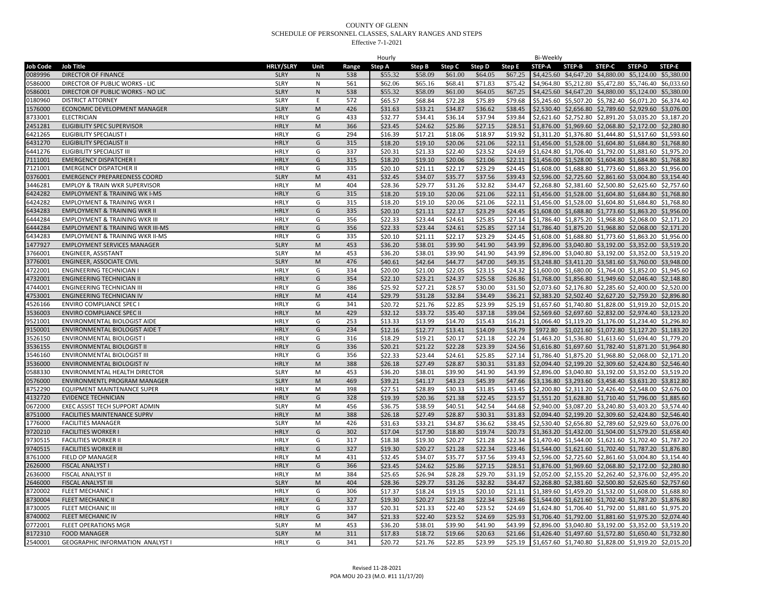|                 |                                             |                            |              |            | Hourly  |         |         |         |         | Bi-Weekly                                                                                                        |        |               |        |                                                        |
|-----------------|---------------------------------------------|----------------------------|--------------|------------|---------|---------|---------|---------|---------|------------------------------------------------------------------------------------------------------------------|--------|---------------|--------|--------------------------------------------------------|
| <b>Job Code</b> | <b>Job Title</b>                            | <b>HRLY/SLRY</b>           | Unit         | Range      | Step A  | Step B  | Step C  | Step D  | Step E  | STEP-A                                                                                                           | STEP-B | <b>STEP-C</b> | STEP-D | STEP-E                                                 |
| 0089996         | <b>DIRECTOR OF FINANCE</b>                  | <b>SLRY</b>                | N            | 538        | \$55.32 | \$58.09 | \$61.00 | \$64.05 | \$67.25 | \$4,425.60 \$4,647.20 \$4,880.00 \$5,124.00 \$5,380.00                                                           |        |               |        |                                                        |
| 0586000         | DIRECTOR OF PUBLIC WORKS - LIC              | <b>SLRY</b>                | N            | 561        | \$62.06 | \$65.16 | \$68.41 | \$71.83 | \$75.42 | \$4,964.80 \$5,212.80 \$5,472.80 \$5,746.40 \$6,033.60                                                           |        |               |        |                                                        |
| 0586001         | DIRECTOR OF PUBLIC WORKS - NO LIC           | <b>SLRY</b>                | $\mathsf{N}$ | 538        | \$55.32 | \$58.09 | \$61.00 | \$64.05 | \$67.25 | \$4,425.60 \$4,647.20 \$4,880.00 \$5,124.00 \$5,380.00                                                           |        |               |        |                                                        |
| 0180960         | <b>DISTRICT ATTORNEY</b>                    | <b>SLRY</b>                | E            | 572        | \$65.57 | \$68.84 | \$72.28 | \$75.89 | \$79.68 | \$5,245.60 \$5,507.20 \$5,782.40 \$6,071.20 \$6,374.40                                                           |        |               |        |                                                        |
| 1576000         | ECONOMIC DEVELOPMENT MANAGER                | <b>SLRY</b>                | M            | 426        | \$31.63 | \$33.21 | \$34.87 | \$36.62 | \$38.45 | \$2,530.40 \$2,656.80 \$2,789.60 \$2,929.60 \$3,076.00                                                           |        |               |        |                                                        |
| 8733001         | <b>ELECTRICIAN</b>                          | <b>HRLY</b>                | G            | 433        | \$32.77 | \$34.41 | \$36.14 | \$37.94 | \$39.84 | \$2,621.60 \$2,752.80 \$2,891.20 \$3,035.20 \$3,187.20                                                           |        |               |        |                                                        |
| 2451281         | ELIGIBILITY SPEC SUPERVISOR                 | <b>HRLY</b>                | M            | 366        | \$23.45 | \$24.62 | \$25.86 | \$27.15 | \$28.51 | \$1,876.00 \$1,969.60 \$2,068.80 \$2,172.00 \$2,280.80                                                           |        |               |        |                                                        |
| 6421265         | <b>ELIGIBILITY SPECIALIST I</b>             | HRLY                       | G            | 294        | \$16.39 | \$17.21 | \$18.06 | \$18.97 | \$19.92 | \$1,311.20 \$1,376.80 \$1,444.80 \$1,517.60 \$1,593.60                                                           |        |               |        |                                                        |
| 6431270         | ELIGIBILITY SPECIALIST II                   | <b>HRLY</b>                | G            | 315        | \$18.20 | \$19.10 | \$20.06 | \$21.06 | \$22.11 | \$1,456.00 \$1,528.00 \$1,604.80 \$1,684.80 \$1,768.80                                                           |        |               |        |                                                        |
| 6441276         | ELIGIBILITY SPECIALIST III                  | <b>HRLY</b>                | G            | 337        | \$20.31 | \$21.33 | \$22.40 | \$23.52 | \$24.69 | \$1,624.80 \$1,706.40 \$1,792.00 \$1,881.60 \$1,975.20                                                           |        |               |        |                                                        |
| 7111001         | <b>EMERGENCY DISPATCHER</b>                 | <b>HRLY</b>                | G            | 315        | \$18.20 | \$19.10 | \$20.06 | \$21.06 | \$22.11 | \$1,456.00 \$1,528.00 \$1,604.80 \$1,684.80 \$1,768.80                                                           |        |               |        |                                                        |
| 7121001         | <b>EMERGENCY DISPATCHER II</b>              | <b>HRLY</b>                | G            | 335        | \$20.10 | \$21.11 | \$22.17 | \$23.29 | \$24.45 | \$1,608.00 \$1,688.80 \$1,773.60 \$1,863.20 \$1,956.00                                                           |        |               |        |                                                        |
| 0376001         | <b>EMERGENCY PREPAREDNESS COORD</b>         | <b>SLRY</b>                | M            | 431        | \$32.45 | \$34.07 | \$35.77 | \$37.56 | \$39.43 | \$2,596.00 \$2,725.60 \$2,861.60 \$3,004.80 \$3,154.40                                                           |        |               |        |                                                        |
| 3446281         | <b>EMPLOY &amp; TRAIN WKR SUPERVISOR</b>    | <b>HRLY</b>                | M            | 404        | \$28.36 | \$29.77 | \$31.26 | \$32.82 | \$34.47 | \$2,268.80 \$2,381.60 \$2,500.80 \$2,625.60 \$2,757.60                                                           |        |               |        |                                                        |
| 6424282         | <b>EMPLOYMENT &amp; TRAINING WK I-MS</b>    | <b>HRLY</b>                | G            | 315        | \$18.20 | \$19.10 | \$20.06 | \$21.06 | \$22.11 | \$1,456.00 \$1,528.00 \$1,604.80 \$1,684.80 \$1,768.80                                                           |        |               |        |                                                        |
| 6424282         | <b>EMPLOYMENT &amp; TRAINING WKR</b>        | <b>HRLY</b>                | G            | 315        |         |         |         |         |         |                                                                                                                  |        |               |        |                                                        |
|                 |                                             | <b>HRLY</b>                | G            | 335        | \$18.20 | \$19.10 | \$20.06 | \$21.06 | \$22.11 | \$1,456.00 \$1,528.00 \$1,604.80 \$1,684.80 \$1,768.80                                                           |        |               |        |                                                        |
| 6434283         | <b>EMPLOYMENT &amp; TRAINING WKR II</b>     |                            |              |            | \$20.10 | \$21.11 | \$22.17 | \$23.29 | \$24.45 | \$1,608.00 \$1,688.80 \$1,773.60 \$1,863.20 \$1,956.00                                                           |        |               |        |                                                        |
| 6444284         | <b>EMPLOYMENT &amp; TRAINING WKR III</b>    | <b>HRLY</b>                | G            | 356        | \$22.33 | \$23.44 | \$24.61 | \$25.85 | \$27.14 | \$1,786.40 \$1,875.20 \$1,968.80 \$2,068.00 \$2,171.20                                                           |        |               |        |                                                        |
| 6444284         | <b>EMPLOYMENT &amp; TRAINING WKR III-MS</b> | <b>HRLY</b>                | G            | 356        | \$22.33 | \$23.44 | \$24.61 | \$25.85 | \$27.14 | \$1,786.40 \$1,875.20 \$1,968.80 \$2,068.00 \$2,171.20                                                           |        |               |        |                                                        |
| 6434283         | <b>EMPLOYMENT &amp; TRAINING WKR II-MS</b>  | <b>HRLY</b>                | G            | 335        | \$20.10 | \$21.11 | \$22.17 | \$23.29 | \$24.45 | \$1,608.00 \$1,688.80 \$1,773.60 \$1,863.20 \$1,956.00                                                           |        |               |        |                                                        |
| 1477927         | <b>EMPLOYMENT SERVICES MANAGER</b>          | <b>SLRY</b>                | M            | 453        | \$36.20 | \$38.01 | \$39.90 | \$41.90 | \$43.99 | \$2,896.00 \$3,040.80 \$3,192.00 \$3,352.00 \$3,519.20                                                           |        |               |        |                                                        |
| 3766001         | ENGINEER, ASSISTANT                         | <b>SLRY</b>                | M            | 453        | \$36.20 | \$38.01 | \$39.90 | \$41.90 | \$43.99 | \$2,896.00 \$3,040.80 \$3,192.00 \$3,352.00 \$3,519.20                                                           |        |               |        |                                                        |
| 3776001         | ENGINEER, ASSOCIATE CIVIL                   | <b>SLRY</b>                | M            | 476        | \$40.61 | \$42.64 | \$44.77 | \$47.00 | \$49.35 | \$3,248.80 \$3,411.20 \$3,581.60 \$3,760.00 \$3,948.00                                                           |        |               |        |                                                        |
| 4722001         | <b>ENGINEERING TECHNICIAN I</b>             | <b>HRLY</b>                | G            | 334        | \$20.00 | \$21.00 | \$22.05 | \$23.15 | \$24.32 | \$1,600.00 \$1,680.00 \$1,764.00 \$1,852.00 \$1,945.60                                                           |        |               |        |                                                        |
| 4732001         | <b>ENGINEERING TECHNICIAN II</b>            | <b>HRLY</b>                | G            | 354        | \$22.10 | \$23.21 | \$24.37 | \$25.58 | \$26.86 | \$1,768.00 \$1,856.80 \$1,949.60 \$2,046.40 \$2,148.80                                                           |        |               |        |                                                        |
| 4744001         | <b>ENGINEERING TECHNICIAN III</b>           | <b>HRLY</b>                | G            | 386        | \$25.92 | \$27.21 | \$28.57 | \$30.00 | \$31.50 | \$2,073.60 \$2,176.80 \$2,285.60 \$2,400.00 \$2,520.00                                                           |        |               |        |                                                        |
| 4753001         | <b>ENGINEERING TECHNICIAN IV</b>            | <b>HRLY</b>                | M            | 414        | \$29.79 | \$31.28 | \$32.84 | \$34.49 | \$36.21 | \$2,383.20 \$2,502.40 \$2,627.20 \$2,759.20 \$2,896.80                                                           |        |               |        |                                                        |
| 4526166         | <b>ENVIRO COMPLIANCE SPEC I</b>             | <b>HRLY</b>                | G            | 341        | \$20.72 | \$21.76 | \$22.85 | \$23.99 | \$25.19 | \$1,657.60 \$1,740.80 \$1,828.00 \$1,919.20 \$2,015.20                                                           |        |               |        |                                                        |
| 3536003         | ENVIRO COMPLIANCE SPEC I                    | <b>HRLY</b>                | M            | 429        | \$32.12 | \$33.72 | \$35.40 | \$37.18 | \$39.04 | \$2,569.60 \$2,697.60 \$2,832.00 \$2,974.40 \$3,123.20                                                           |        |               |        |                                                        |
| 9521001         | ENVIRONMENTAL BIOLOGIST AIDE                | <b>HRLY</b>                | G            | 253        | \$13.33 | \$13.99 | \$14.70 | \$15.43 | \$16.21 | \$1,066.40 \$1,119.20 \$1,176.00 \$1,234.40 \$1,296.80                                                           |        |               |        |                                                        |
| 9150001         | ENVIRONMENTAL BIOLOGIST AIDE T              | <b>HRLY</b>                | G            | 234        | \$12.16 | \$12.77 | \$13.41 | \$14.09 | \$14.79 | \$972.80                                                                                                         |        |               |        | \$1,021.60 \$1,072.80 \$1,127.20 \$1,183.20            |
| 3526150         | ENVIRONMENTAL BIOLOGIST                     | <b>HRLY</b>                | G            | 316        | \$18.29 | \$19.21 | \$20.17 | \$21.18 | \$22.24 | \$1,463.20 \$1,536.80 \$1,613.60 \$1,694.40 \$1,779.20                                                           |        |               |        |                                                        |
| 3536155         | ENVIRONMENTAL BIOLOGIST II                  | <b>HRLY</b>                | G            | 336        | \$20.21 | \$21.22 | \$22.28 | \$23.39 | \$24.56 | \$1,616.80 \$1,697.60 \$1,782.40 \$1,871.20 \$1,964.80                                                           |        |               |        |                                                        |
| 3546160         | ENVIRONMENTAL BIOLOGIST III                 | <b>HRLY</b>                | G            | 356        | \$22.33 | \$23.44 | \$24.61 | \$25.85 | \$27.14 | \$1,786.40 \$1,875.20 \$1,968.80 \$2,068.00 \$2,171.20                                                           |        |               |        |                                                        |
| 3536000         | ENVIRONMENTAL BIOLOGIST IV                  | <b>HRLY</b>                | M            | 388        | \$26.18 | \$27.49 | \$28.87 | \$30.31 | \$31.83 | \$2,094.40 \$2,199.20 \$2,309.60 \$2,424.80 \$2,546.40                                                           |        |               |        |                                                        |
| 0588330         | ENVIRONMENTAL HEALTH DIRECTOR               | <b>SLRY</b>                | M            | 453        | \$36.20 | \$38.01 | \$39.90 | \$41.90 | \$43.99 | \$2,896.00 \$3,040.80 \$3,192.00 \$3,352.00 \$3,519.20                                                           |        |               |        |                                                        |
| 0576000         | ENVIRONMENTL PROGRAM MANAGER                | <b>SLRY</b>                | M            | 469        | \$39.21 | \$41.17 | \$43.23 | \$45.39 | \$47.66 | \$3,136.80 \$3,293.60 \$3,458.40 \$3,631.20 \$3,812.80                                                           |        |               |        |                                                        |
| 8752290         | <b>EQUIPMENT MAINTENANCE SUPER</b>          | <b>HRLY</b>                | M            | 398        | \$27.51 | \$28.89 | \$30.33 | \$31.85 | \$33.45 | \$2,200.80 \$2,311.20 \$2,426.40 \$2,548.00 \$2,676.00                                                           |        |               |        |                                                        |
| 4132720         | <b>EVIDENCE TECHNICIAN</b>                  | <b>HRLY</b>                | G            | 328        | \$19.39 | \$20.36 | \$21.38 | \$22.45 | \$23.57 | \$1,551.20 \$1,628.80 \$1,710.40 \$1,796.00 \$1,885.60                                                           |        |               |        |                                                        |
| 0672000         | EXEC ASSIST TECH SUPPORT ADMIN              | <b>SLRY</b>                | M            | 456        | \$36.75 | \$38.59 | \$40.51 | \$42.54 | \$44.68 |                                                                                                                  |        |               |        | \$2,940.00 \$3,087.20 \$3,240.80 \$3,403.20 \$3,574.40 |
| 8751000         | FACILITIES MAINTENANCE SUPRV                | <b>HRLY</b>                | M            | 388        | \$26.18 | \$27.49 | \$28.87 | \$30.31 | \$31.83 | \$2,094.40 \$2,199.20 \$2,309.60 \$2,424.80 \$2,546.40                                                           |        |               |        |                                                        |
| 1776000         | <b>FACILITIES MANAGER</b>                   | <b>SLRY</b>                | M            | 426        | \$31.63 | \$33.21 | \$34.87 | \$36.62 | \$38.45 | \$2,530.40 \$2,656.80 \$2,789.60 \$2,929.60 \$3,076.00                                                           |        |               |        |                                                        |
| 9720210         | <b>FACILITIES WORKER I</b>                  | <b>HRLY</b>                | G            | 302        | \$17.04 | \$17.90 | \$18.80 | \$19.74 | \$20.73 | \$1,363.20 \$1,432.00 \$1,504.00 \$1,579.20 \$1,658.40                                                           |        |               |        |                                                        |
| 9730515         | <b>FACILITIES WORKER II</b>                 | <b>HRLY</b>                | G            | 317        | \$18.38 | \$19.30 | \$20.27 | \$21.28 | \$22.34 | \$1,470.40 \$1,544.00 \$1,621.60 \$1,702.40 \$1,787.20                                                           |        |               |        |                                                        |
| 9740515         | <b>FACILITIES WORKER III</b>                | <b>HRLY</b>                | G            | 327        | \$19.30 | \$20.27 | \$21.28 | \$22.34 | \$23.46 | \$1,544.00 \$1,621.60 \$1,702.40 \$1,787.20 \$1,876.80                                                           |        |               |        |                                                        |
| 8761000         | FIELD OP MANAGER                            | <b>HRLY</b>                | M            | 431        | \$32.45 | \$34.07 | \$35.77 | \$37.56 | \$39.43 | \$2,596.00 \$2,725.60 \$2,861.60 \$3,004.80 \$3,154.40                                                           |        |               |        |                                                        |
| 2626000         | FISCAL ANALYST I                            | <b>HRLY</b>                | G            | 366        | \$23.45 | \$24.62 | \$25.86 | \$27.15 | \$28.51 | \$1,876.00 \$1,969.60 \$2,068.80 \$2,172.00 \$2,280.80                                                           |        |               |        |                                                        |
|                 |                                             |                            |              |            |         | \$26.94 | \$28.28 | \$29.70 |         |                                                                                                                  |        |               |        |                                                        |
| 2636000         | FISCAL ANALYST II                           | <b>HRLY</b><br><b>SLRY</b> | M<br>M       | 384<br>404 | \$25.65 |         | \$31.26 | \$32.82 | \$31.19 | \$2,052.00 \$2,155.20 \$2,262.40 \$2,376.00 \$2,495.20<br>\$2,268.80 \$2,381.60 \$2,500.80 \$2,625.60 \$2,757.60 |        |               |        |                                                        |
| 2646000         | FISCAL ANALYST III                          |                            |              |            | \$28.36 | \$29.77 |         |         | \$34.47 |                                                                                                                  |        |               |        |                                                        |
| 8720002         | FLEET MECHANIC I                            | <b>HRLY</b>                | G            | 306        | \$17.37 | \$18.24 | \$19.15 | \$20.10 | \$21.11 | \$1,389.60 \$1,459.20 \$1,532.00 \$1,608.00 \$1,688.80                                                           |        |               |        |                                                        |
| 8730004         | FLEET MECHANIC II                           | <b>HRLY</b>                | G            | 327        | \$19.30 | \$20.27 | \$21.28 | \$22.34 | \$23.46 | \$1,544.00 \$1,621.60 \$1,702.40 \$1,787.20 \$1,876.80                                                           |        |               |        |                                                        |
| 8730005         | FLEET MECHANIC III                          | <b>HRLY</b>                | G            | 337        | \$20.31 | \$21.33 | \$22.40 | \$23.52 | \$24.69 | \$1,624.80 \$1,706.40 \$1,792.00 \$1,881.60 \$1,975.20                                                           |        |               |        |                                                        |
| 8740002         | FLEET MECHANIC IV                           | <b>HRLY</b>                | G            | 347        | \$21.33 | \$22.40 | \$23.52 | \$24.69 | \$25.93 | \$1,706.40 \$1,792.00 \$1,881.60 \$1,975.20 \$2,074.40                                                           |        |               |        |                                                        |
| 0772001         | <b>FLEET OPERATIONS MGR</b>                 | <b>SLRY</b>                | M            | 453        | \$36.20 | \$38.01 | \$39.90 | \$41.90 | \$43.99 | \$2,896.00 \$3,040.80 \$3,192.00 \$3,352.00 \$3,519.20                                                           |        |               |        |                                                        |
| 8172310         | <b>FOOD MANAGER</b>                         | <b>SLRY</b>                | M            | 311        | \$17.83 | \$18.72 | \$19.66 | \$20.63 | \$21.66 | \$1,426.40 \$1,497.60 \$1,572.80 \$1,650.40 \$1,732.80                                                           |        |               |        |                                                        |
| 2540001         | GEOGRAPHIC INFORMATION ANALYST I            | <b>HRLY</b>                | G            | 341        | \$20.72 | \$21.76 | \$22.85 | \$23.99 |         | \$25.19 \$1,657.60 \$1,740.80 \$1,828.00 \$1,919.20 \$2,015.20                                                   |        |               |        |                                                        |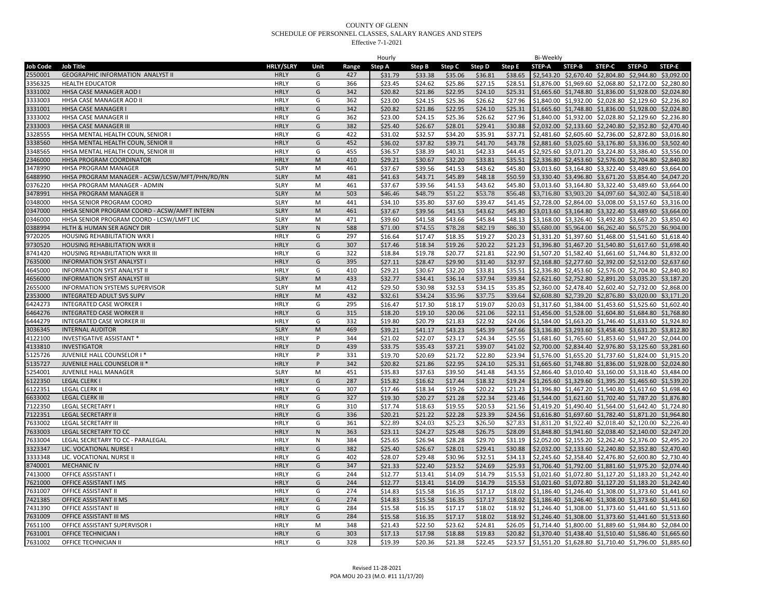| <b>HRLY/SLRY</b><br><b>Job Code</b><br>Unit<br><b>STEP-A</b><br>STEP-B<br>STEP-D<br>STEP-E<br><b>Job Title</b><br>Range<br>Step A<br>Step B<br>Step C<br>Step D<br>Step E<br><b>STEP-C</b><br>\$2,543.20 \$2,670.40 \$2,804.80 \$2,944.80 \$3,092.00<br>2550001<br><b>GEOGRAPHIC INFORMATION ANALYST II</b><br><b>HRLY</b><br>\$33.38<br>\$35.06<br>\$36.81<br>\$38.65<br>G<br>427<br>\$31.79<br>G<br>\$25.86<br>\$27.15<br>3356325<br>366<br>\$23.45<br>\$24.62<br>\$28.51<br>\$1,876.00 \$1,969.60 \$2,068.80 \$2,172.00 \$2,280.80<br><b>HEALTH EDUCATOR</b><br><b>HRLY</b><br><b>HRLY</b><br>G<br>\$21.86<br>\$22.95<br>\$24.10<br>\$25.31<br>3331002<br>HHSA CASE MANAGER AOD I<br>342<br>\$20.82<br>\$1,665.60 \$1,748.80 \$1,836.00 \$1,928.00 \$2,024.80<br>3333003<br>HHSA CASE MANAGER AOD II<br><b>HRLY</b><br>\$23.00<br>\$24.15<br>\$25.36<br>\$26.62<br>\$27.96<br>\$1,840.00 \$1,932.00 \$2,028.80 \$2,129.60 \$2,236.80<br>G<br>362<br>342<br>\$20.82<br>\$21.86<br>\$22.95<br>\$24.10<br>\$25.31<br>\$1,665.60 \$1,748.80 \$1,836.00 \$1,928.00 \$2,024.80<br>3331001<br>HHSA CASE MANAGER<br><b>HRLY</b><br>G<br>3333002<br>HHSA CASE MANAGER II<br>\$23.00<br>\$24.15<br>\$25.36<br>\$26.62<br>\$27.96<br>\$1,840.00 \$1,932.00 \$2,028.80 \$2,129.60 \$2,236.80<br><b>HRLY</b><br>G<br>362<br>\$28.01<br>\$29.41<br>\$2,032.00 \$2,133.60 \$2,240.80 \$2,352.80 \$2,470.40<br>2333003<br>HHSA CASE MANAGER III<br><b>HRLY</b><br>G<br>382<br>\$25.40<br>\$26.67<br>\$30.88<br>\$34.20<br>\$35.91<br>\$37.71<br>\$2,481.60 \$2,605.60 \$2,736.00 \$2,872.80 \$3,016.80<br>3328555<br>HHSA MENTAL HEALTH COUN, SENIOR I<br>422<br>\$31.02<br>\$32.57<br>HRLY<br>G<br>\$39.71<br>\$41.70<br>\$43.78<br>HHSA MENTAL HEALTH COUN, SENIOR II<br><b>HRLY</b><br>G<br>452<br>\$36.02<br>\$37.82<br>\$2,881.60 \$3,025.60 \$3,176.80 \$3,336.00 \$3,502.40<br>3338560<br>3348565<br>HHSA MENTAL HEALTH COUN, SENIOR III<br><b>HRLY</b><br>G<br>455<br>\$36.57<br>\$38.39<br>\$40.31<br>\$42.33<br>\$44.45<br>\$2,925.60 \$3,071.20 \$3,224.80 \$3,386.40 \$3,556.00<br>2346000<br>HHSA PROGRAM COORDINATOR<br><b>HRLY</b><br>${\sf M}$<br>410<br>\$29.21<br>\$30.67<br>\$32.20<br>\$33.81<br>\$35.51<br>\$2,336.80 \$2,453.60 \$2,576.00 \$2,704.80 \$2,840.80<br>\$43.62<br>\$3,013.60 \$3,164.80 \$3,322.40 \$3,489.60 \$3,664.00<br>3478990<br>HHSA PROGRAM MANAGER<br><b>SLRY</b><br>M<br>461<br>\$37.67<br>\$39.56<br>\$41.53<br>\$45.80<br><b>SLRY</b><br>\$41.63<br>\$43.71<br>\$45.89<br>\$48.18<br>\$50.59<br>\$3,330.40 \$3,496.80 \$3,671.20 \$3,854.40 \$4,047.20<br>6488990<br>HHSA PROGRAM MANAGER - ACSW/LCSW/MFT/PHN/RD/RN<br>M<br>481<br>0376220<br><b>SLRY</b><br>M<br>\$37.67<br>\$39.56<br>\$41.53<br>\$43.62<br>\$3,013.60 \$3,164.80 \$3,322.40 \$3,489.60 \$3,664.00<br>HHSA PROGRAM MANAGER - ADMIN<br>461<br>\$45.80<br>\$51.22<br>\$53.78<br>\$56.48<br>\$3,716.80 \$3,903.20 \$4,097.60 \$4,302.40 \$4,518.40<br>3478991<br>HHSA PROGRAM MANAGER II<br><b>SLRY</b><br>M<br>503<br>\$46.46<br>\$48.79<br>0348000<br>HHSA SENIOR PROGRAM COORD<br><b>SLRY</b><br>M<br>441<br>\$34.10<br>\$35.80<br>\$37.60<br>\$39.47<br>\$41.45<br>\$2,728.00 \$2,864.00 \$3,008.00 \$3,157.60 \$3,316.00<br>0347000<br>HHSA SENIOR PROGRAM COORD - ACSW/AMFT INTERN<br><b>SLRY</b><br>M<br>461<br>\$41.53<br>\$43.62<br>\$37.67<br>\$39.56<br>\$45.80<br>\$3,013.60 \$3,164.80 \$3,322.40 \$3,489.60 \$3,664.00<br>HHSA SENIOR PROGRAM COORD - LCSW/LMFT LIC<br>0346000<br><b>SLRY</b><br>M<br>471<br>\$43.66<br>\$45.84<br>\$48.13<br>\$3,168.00 \$3,326.40 \$3,492.80 \$3,667.20 \$3,850.40<br>\$39.60<br>\$41.58<br>0388994<br>HLTH & HUMAN SER AGNCY DIR<br><b>SLRY</b><br>${\sf N}$<br>588<br>\$71.00<br>\$74.55<br>\$78.28<br>\$82.19<br>\$86.30<br>\$5,680.00 \$5,964.00 \$6,262.40 \$6,575.20 \$6,904.00<br>9720205<br><b>HRLY</b><br>G<br>HOUSING REHABILITATION WKR<br>297<br>\$16.64<br>\$17.47<br>\$18.35<br>\$19.27<br>\$20.23<br>\$1,331.20 \$1,397.60 \$1,468.00 \$1,541.60 \$1,618.40<br>G<br>\$19.26<br>\$20.22<br>\$21.23<br>\$1,396.80 \$1,467.20 \$1,540.80 \$1,617.60 \$1,698.40<br>9730520<br><b>HOUSING REHABILITATION WKR II</b><br><b>HRLY</b><br>307<br>\$17.46<br>\$18.34<br>HOUSING REHABILITATION WKR III<br><b>HRLY</b><br>G<br>\$18.84<br>\$19.78<br>\$20.77<br>\$21.81<br>\$22.90<br>\$1,507.20 \$1,582.40 \$1,661.60 \$1,744.80 \$1,832.00<br>8741420<br>322<br><b>INFORMATION SYST ANALYST I</b><br>395<br>\$27.11<br>\$28.47<br>\$29.90<br>\$31.40<br>\$32.97<br>\$2,168.80 \$2,277.60 \$2,392.00 \$2,512.00 \$2,637.60<br>7635000<br><b>HRLY</b><br>G<br>4645000<br><b>INFORMATION SYST ANALYST II</b><br><b>HRLY</b><br>G<br>410<br>\$29.21<br>\$30.67<br>\$32.20<br>\$33.81<br>\$35.51<br>\$2,336.80 \$2,453.60 \$2,576.00 \$2,704.80 \$2,840.80<br>\$36.14<br>\$37.94<br>\$39.84<br>\$2,621.60 \$2,752.80 \$2,891.20 \$3,035.20 \$3,187.20<br><b>INFORMATION SYST ANALYST III</b><br><b>SLRY</b><br>\$32.77<br>\$34.41<br>1656000<br>M<br>433<br>\$29.50<br>\$32.53<br>\$34.15<br>\$35.85<br>\$2,360.00 \$2,478.40 \$2,602.40 \$2,732.00 \$2,868.00<br>2655000<br>INFORMATION SYSTEMS SUPERVISOR<br><b>SLRY</b><br>M<br>412<br>\$30.98<br>\$35.96<br>\$37.75<br>\$39.64<br><b>HRLY</b><br>M<br>432<br>\$32.61<br>\$34.24<br>\$2,608.80 \$2,739.20 \$2,876.80 \$3,020.00 \$3,171.20<br>2353000<br><b>INTEGRATED ADULT SVS SUPV</b><br>\$18.17<br>\$19.07<br>6424273<br>INTEGRATED CASE WORKER<br><b>HRLY</b><br>G<br>295<br>\$16.47<br>\$17.30<br>\$20.03<br>\$1,317.60 \$1,384.00 \$1,453.60 \$1,525.60 \$1,602.40<br>6464276<br><b>HRLY</b><br>315<br>\$18.20<br>\$19.10<br>\$20.06<br>\$21.06<br>\$22.11<br>\$1,456.00 \$1,528.00 \$1,604.80 \$1,684.80 \$1,768.80<br><b>INTEGRATED CASE WORKER II</b><br>G<br>\$21.83<br>\$22.92<br>\$1,584.00 \$1,663.20 \$1,746.40 \$1,833.60 \$1,924.80<br>6444279<br>INTEGRATED CASE WORKER III<br><b>HRLY</b><br>G<br>332<br>\$19.80<br>\$20.79<br>\$24.06<br>3036345<br><b>SLRY</b><br>${\sf M}$<br>469<br>\$39.21<br>\$41.17<br>\$43.23<br>\$45.39<br>\$47.66<br>\$3,136.80 \$3,293.60 \$3,458.40 \$3,631.20 \$3,812.80<br><b>INTERNAL AUDITOR</b><br>\$23.17<br>\$24.34<br>\$25.55<br>\$1,681.60 \$1,765.60 \$1,853.60 \$1,947.20 \$2,044.00<br>4122100<br>INVESTIGATIVE ASSISTANT *<br><b>HRLY</b><br>344<br>\$21.02<br>\$22.07<br>P<br>D<br>\$37.21<br>\$39.07<br>\$2,700.00 \$2,834.40 \$2,976.80 \$3,125.60 \$3,281.60<br>4133810<br><b>INVESTIGATOR</b><br><b>HRLY</b><br>439<br>\$33.75<br>\$35.43<br>\$41.02<br>P<br>\$21.72<br>\$22.80<br>\$23.94<br>5125726<br>JUVENILE HALL COUNSELOR I *<br><b>HRLY</b><br>331<br>\$19.70<br>\$20.69<br>\$1,576.00 \$1,655.20 \$1,737.60 \$1,824.00 \$1,915.20<br>5135727<br>JUVENILE HALL COUNSELOR II *<br><b>HRLY</b><br>P<br>342<br>\$20.82<br>\$21.86<br>\$22.95<br>\$24.10<br>\$25.31<br>\$1,665.60 \$1,748.80 \$1,836.00 \$1,928.00 \$2,024.80<br>5254001<br>JUVENILE HALL MANAGER<br><b>SLRY</b><br>M<br>451<br>\$35.83<br>\$37.63<br>\$39.50<br>\$41.48<br>\$43.55<br>\$2,866.40 \$3,010.40 \$3,160.00 \$3,318.40 \$3,484.00<br>6122350<br>LEGAL CLERK I<br><b>HRLY</b><br>G<br>287<br>\$17.44<br>\$18.32<br>\$15.82<br>\$16.62<br>\$19.24<br>\$1,265.60 \$1,329.60 \$1,395.20 \$1,465.60 \$1,539.20<br>6122351<br>LEGAL CLERK II<br><b>HRLY</b><br>G<br>307<br>\$19.26<br>\$20.22<br>\$17.46<br>\$18.34<br>\$21.23<br>\$1,396.80 \$1,467.20 \$1,540.80 \$1,617.60 \$1,698.40<br>633002<br><b>LEGAL CLERK II</b><br><b>HRLY</b><br>327<br>\$21.28<br>\$22.34<br>\$23.46<br>\$1,544.00 \$1,621.60 \$1,702.40 \$1,787.20 \$1,876.80<br>G<br>\$19.30<br>\$20.27<br>7122350<br><b>LEGAL SECRETARY I</b><br><b>HRLY</b><br>G<br>310<br>\$19.55<br>\$20.53<br>\$17.74<br>\$18.63<br>\$21.56<br>\$1,419.20 \$1,490.40 \$1,564.00 \$1,642.40 \$1,724.80<br>7122351<br><b>LEGAL SECRETARY II</b><br><b>HRLY</b><br>G<br>336<br>\$20.21<br>\$21.22<br>\$22.28<br>\$23.39<br>\$24.56<br>\$1,616.80 \$1,697.60 \$1,782.40 \$1,871.20 \$1,964.80<br>\$26.50<br>\$1,831.20 \$1,922.40 \$2,018.40 \$2,120.00 \$2,226.40<br>7633002<br><b>LEGAL SECRETARY III</b><br><b>HRLY</b><br>G<br>361<br>\$22.89<br>\$24.03<br>\$25.23<br>\$27.83<br>7633003<br>${\sf N}$<br>\$23.11<br>\$24.27<br>\$25.48<br>\$26.75<br>\$28.09<br>\$1,848.80 \$1,941.60 \$2,038.40 \$2,140.00 \$2,247.20<br>LEGAL SECRETARY TO CC<br>HRLY<br>363<br>\$28.28<br>\$29.70<br>\$2,052.00 \$2,155.20 \$2,262.40 \$2,376.00 \$2,495.20<br>7633004<br><b>HRLY</b><br>N<br>\$25.65<br>\$26.94<br>\$31.19<br>LEGAL SECRETARY TO CC - PARALEGAL<br>384<br>G<br>\$28.01<br>\$29.41<br>\$30.88<br>3323347<br>LIC. VOCATIONAL NURSE I<br><b>HRLY</b><br>382<br>\$25.40<br>\$26.67<br>\$2,032.00 \$2,133.60 \$2,240.80 \$2,352.80 \$2,470.40<br>\$32.51<br>3333348<br>LIC. VOCATIONAL NURSE II<br><b>HRLY</b><br>G<br>402<br>\$28.07<br>\$29.48<br>\$30.96<br>\$34.13<br>\$2,245.60 \$2,358.40 \$2,476.80 \$2,600.80 \$2,730.40<br>3740001<br><b>HRLY</b><br>G<br>347<br>\$21.33<br>\$22.40<br>\$23.52<br>\$24.69<br>\$25.93<br>\$1,706.40 \$1,792.00 \$1,881.60 \$1,975.20 \$2,074.40<br><b>MECHANIC IV</b><br>\$14.79<br>7413000<br>OFFICE ASSISTANT I<br><b>HRLY</b><br>G<br>244<br>\$12.77<br>\$13.41<br>\$14.09<br>\$15.53<br>\$1,021.60 \$1,072.80 \$1,127.20 \$1,183.20 \$1,242.40<br>7621000<br>\$12.77<br>\$13.41<br>\$14.09<br>\$14.79<br>\$15.53<br>\$1,021.60 \$1,072.80 \$1,127.20 \$1,183.20 \$1,242.40<br>OFFICE ASSISTANT I MS<br><b>HRLY</b><br>G<br>244<br>\$17.17<br><b>OFFICE ASSISTANT II</b><br>G<br>274<br>\$14.83<br>\$15.58<br>\$16.35<br>\$18.02<br>\$1,186.40 \$1,246.40 \$1,308.00 \$1,373.60 \$1,441.60<br>7631007<br><b>HRLY</b><br>\$16.35<br>\$17.17<br>7421385<br><b>HRLY</b><br>G<br>274<br>\$14.83<br>\$15.58<br>\$18.02<br>\$1,186.40 \$1,246.40 \$1,308.00 \$1,373.60 \$1,441.60<br>OFFICE ASSISTANT II MS<br>\$18.02<br>7431390<br>G<br>284<br>\$15.58<br>\$17.17<br>\$18.92<br>\$1,246.40 \$1,308.00 \$1,373.60 \$1,441.60 \$1,513.60<br>OFFICE ASSISTANT III<br><b>HRLY</b><br>\$16.35<br>\$17.17<br>OFFICE ASSISTANT III MS<br><b>HRLY</b><br>G<br>284<br>\$15.58<br>\$16.35<br>\$18.02<br>\$18.92<br>\$1,246.40 \$1,308.00 \$1,373.60 \$1,441.60 \$1,513.60<br>7631009<br>\$22.50<br>\$23.62<br>\$24.81<br>\$1,714.40 \$1,800.00 \$1,889.60 \$1,984.80 \$2,084.00<br>7651100<br>OFFICE ASSISTANT SUPERVISOR I<br><b>HRLY</b><br>M<br>348<br>\$21.43<br>\$26.05<br>7631001<br><b>OFFICE TECHNICIAN I</b><br><b>HRLY</b><br>G<br>303<br>\$17.13<br>\$17.98<br>\$18.88<br>\$19.83<br>\$20.82<br>\$1,370.40 \$1,438.40 \$1,510.40 \$1,586.40 \$1,665.60<br>\$19.39<br>\$20.36<br>\$21.38<br>\$22.45<br>\$23.57 \$1,551.20 \$1,628.80 \$1,710.40 \$1,796.00 \$1,885.60<br>7631002<br>OFFICE TECHNICIAN II<br>328<br><b>HRLY</b><br>G |  |  | Hourly |  |  | Bi-Weekly |  |
|----------------------------------------------------------------------------------------------------------------------------------------------------------------------------------------------------------------------------------------------------------------------------------------------------------------------------------------------------------------------------------------------------------------------------------------------------------------------------------------------------------------------------------------------------------------------------------------------------------------------------------------------------------------------------------------------------------------------------------------------------------------------------------------------------------------------------------------------------------------------------------------------------------------------------------------------------------------------------------------------------------------------------------------------------------------------------------------------------------------------------------------------------------------------------------------------------------------------------------------------------------------------------------------------------------------------------------------------------------------------------------------------------------------------------------------------------------------------------------------------------------------------------------------------------------------------------------------------------------------------------------------------------------------------------------------------------------------------------------------------------------------------------------------------------------------------------------------------------------------------------------------------------------------------------------------------------------------------------------------------------------------------------------------------------------------------------------------------------------------------------------------------------------------------------------------------------------------------------------------------------------------------------------------------------------------------------------------------------------------------------------------------------------------------------------------------------------------------------------------------------------------------------------------------------------------------------------------------------------------------------------------------------------------------------------------------------------------------------------------------------------------------------------------------------------------------------------------------------------------------------------------------------------------------------------------------------------------------------------------------------------------------------------------------------------------------------------------------------------------------------------------------------------------------------------------------------------------------------------------------------------------------------------------------------------------------------------------------------------------------------------------------------------------------------------------------------------------------------------------------------------------------------------------------------------------------------------------------------------------------------------------------------------------------------------------------------------------------------------------------------------------------------------------------------------------------------------------------------------------------------------------------------------------------------------------------------------------------------------------------------------------------------------------------------------------------------------------------------------------------------------------------------------------------------------------------------------------------------------------------------------------------------------------------------------------------------------------------------------------------------------------------------------------------------------------------------------------------------------------------------------------------------------------------------------------------------------------------------------------------------------------------------------------------------------------------------------------------------------------------------------------------------------------------------------------------------------------------------------------------------------------------------------------------------------------------------------------------------------------------------------------------------------------------------------------------------------------------------------------------------------------------------------------------------------------------------------------------------------------------------------------------------------------------------------------------------------------------------------------------------------------------------------------------------------------------------------------------------------------------------------------------------------------------------------------------------------------------------------------------------------------------------------------------------------------------------------------------------------------------------------------------------------------------------------------------------------------------------------------------------------------------------------------------------------------------------------------------------------------------------------------------------------------------------------------------------------------------------------------------------------------------------------------------------------------------------------------------------------------------------------------------------------------------------------------------------------------------------------------------------------------------------------------------------------------------------------------------------------------------------------------------------------------------------------------------------------------------------------------------------------------------------------------------------------------------------------------------------------------------------------------------------------------------------------------------------------------------------------------------------------------------------------------------------------------------------------------------------------------------------------------------------------------------------------------------------------------------------------------------------------------------------------------------------------------------------------------------------------------------------------------------------------------------------------------------------------------------------------------------------------------------------------------------------------------------------------------------------------------------------------------------------------------------------------------------------------------------------------------------------------------------------------------------------------------------------------------------------------------------------------------------------------------------------------------------------------------------------------------------------------------------------------------------------------------------------------------------------------------------------------------------------------------------------------------------------------------------------------------------------------------------------------------------------------------------------------------------------------------------------------------------------------------------------------------------------------------------------------------------------------------------------------------------------------------------------------------------------------------------------------------------------------------------------------------------------------------------------------------------------------------------------------------------------------------------------------------------------------------------------------------------------------------------------------------------------------------------------------------------------------------------------------------------------------------------------------------------------------------------------------------------------------------------------------------------------------------------------------------------------------------------------------------------------------------------------------------------------------------------------------------------------------------------------------------------------------------------------------------------------------------------------------------------------------------------------------------------------------------------------------------------------------------------------------------------------------------------------------------------------------------------------------------------------------------------------------------------------------------------------------------------------------------------------------------------------------------------------------------------------------------------------------------------------------------------------------------------------------------------------------------------------------------------------------------------------------------------------------------------------------------------------------------------------------------------------------------------------------------------------------------------------------------------------------------------------------------------------------------------------------------------------------------------------------------------------------------------------------------------------------------------------------------------------------------------------------------------------------------------------------------------------------------------------------------------------------------------------------------------------------------------------------|--|--|--------|--|--|-----------|--|
|                                                                                                                                                                                                                                                                                                                                                                                                                                                                                                                                                                                                                                                                                                                                                                                                                                                                                                                                                                                                                                                                                                                                                                                                                                                                                                                                                                                                                                                                                                                                                                                                                                                                                                                                                                                                                                                                                                                                                                                                                                                                                                                                                                                                                                                                                                                                                                                                                                                                                                                                                                                                                                                                                                                                                                                                                                                                                                                                                                                                                                                                                                                                                                                                                                                                                                                                                                                                                                                                                                                                                                                                                                                                                                                                                                                                                                                                                                                                                                                                                                                                                                                                                                                                                                                                                                                                                                                                                                                                                                                                                                                                                                                                                                                                                                                                                                                                                                                                                                                                                                                                                                                                                                                                                                                                                                                                                                                                                                                                                                                                                                                                                                                                                                                                                                                                                                                                                                                                                                                                                                                                                                                                                                                                                                                                                                                                                                                                                                                                                                                                                                                                                                                                                                                                                                                                                                                                                                                                                                                                                                                                                                                                                                                                                                                                                                                                                                                                                                                                                                                                                                                                                                                                                                                                                                                                                                                                                                                                                                                                                                                                                                                                                                                                                                                                                                                                                                                                                                                                                                                                                                                                                                                                                                                                                                                                                                                                                                                                                                                                                                                                                                                                                                                                                                                                                                                                                                                                                                                                                                                                                                                                                                                                                                                                                                                                                                                                                                                                                                                                                                                                                                                                                                                                                                                                                                                                                                                                                                                                                                                                                                                                                                                                                                                                                                                  |  |  |        |  |  |           |  |
|                                                                                                                                                                                                                                                                                                                                                                                                                                                                                                                                                                                                                                                                                                                                                                                                                                                                                                                                                                                                                                                                                                                                                                                                                                                                                                                                                                                                                                                                                                                                                                                                                                                                                                                                                                                                                                                                                                                                                                                                                                                                                                                                                                                                                                                                                                                                                                                                                                                                                                                                                                                                                                                                                                                                                                                                                                                                                                                                                                                                                                                                                                                                                                                                                                                                                                                                                                                                                                                                                                                                                                                                                                                                                                                                                                                                                                                                                                                                                                                                                                                                                                                                                                                                                                                                                                                                                                                                                                                                                                                                                                                                                                                                                                                                                                                                                                                                                                                                                                                                                                                                                                                                                                                                                                                                                                                                                                                                                                                                                                                                                                                                                                                                                                                                                                                                                                                                                                                                                                                                                                                                                                                                                                                                                                                                                                                                                                                                                                                                                                                                                                                                                                                                                                                                                                                                                                                                                                                                                                                                                                                                                                                                                                                                                                                                                                                                                                                                                                                                                                                                                                                                                                                                                                                                                                                                                                                                                                                                                                                                                                                                                                                                                                                                                                                                                                                                                                                                                                                                                                                                                                                                                                                                                                                                                                                                                                                                                                                                                                                                                                                                                                                                                                                                                                                                                                                                                                                                                                                                                                                                                                                                                                                                                                                                                                                                                                                                                                                                                                                                                                                                                                                                                                                                                                                                                                                                                                                                                                                                                                                                                                                                                                                                                                                                                                                  |  |  |        |  |  |           |  |
|                                                                                                                                                                                                                                                                                                                                                                                                                                                                                                                                                                                                                                                                                                                                                                                                                                                                                                                                                                                                                                                                                                                                                                                                                                                                                                                                                                                                                                                                                                                                                                                                                                                                                                                                                                                                                                                                                                                                                                                                                                                                                                                                                                                                                                                                                                                                                                                                                                                                                                                                                                                                                                                                                                                                                                                                                                                                                                                                                                                                                                                                                                                                                                                                                                                                                                                                                                                                                                                                                                                                                                                                                                                                                                                                                                                                                                                                                                                                                                                                                                                                                                                                                                                                                                                                                                                                                                                                                                                                                                                                                                                                                                                                                                                                                                                                                                                                                                                                                                                                                                                                                                                                                                                                                                                                                                                                                                                                                                                                                                                                                                                                                                                                                                                                                                                                                                                                                                                                                                                                                                                                                                                                                                                                                                                                                                                                                                                                                                                                                                                                                                                                                                                                                                                                                                                                                                                                                                                                                                                                                                                                                                                                                                                                                                                                                                                                                                                                                                                                                                                                                                                                                                                                                                                                                                                                                                                                                                                                                                                                                                                                                                                                                                                                                                                                                                                                                                                                                                                                                                                                                                                                                                                                                                                                                                                                                                                                                                                                                                                                                                                                                                                                                                                                                                                                                                                                                                                                                                                                                                                                                                                                                                                                                                                                                                                                                                                                                                                                                                                                                                                                                                                                                                                                                                                                                                                                                                                                                                                                                                                                                                                                                                                                                                                                                                                  |  |  |        |  |  |           |  |
|                                                                                                                                                                                                                                                                                                                                                                                                                                                                                                                                                                                                                                                                                                                                                                                                                                                                                                                                                                                                                                                                                                                                                                                                                                                                                                                                                                                                                                                                                                                                                                                                                                                                                                                                                                                                                                                                                                                                                                                                                                                                                                                                                                                                                                                                                                                                                                                                                                                                                                                                                                                                                                                                                                                                                                                                                                                                                                                                                                                                                                                                                                                                                                                                                                                                                                                                                                                                                                                                                                                                                                                                                                                                                                                                                                                                                                                                                                                                                                                                                                                                                                                                                                                                                                                                                                                                                                                                                                                                                                                                                                                                                                                                                                                                                                                                                                                                                                                                                                                                                                                                                                                                                                                                                                                                                                                                                                                                                                                                                                                                                                                                                                                                                                                                                                                                                                                                                                                                                                                                                                                                                                                                                                                                                                                                                                                                                                                                                                                                                                                                                                                                                                                                                                                                                                                                                                                                                                                                                                                                                                                                                                                                                                                                                                                                                                                                                                                                                                                                                                                                                                                                                                                                                                                                                                                                                                                                                                                                                                                                                                                                                                                                                                                                                                                                                                                                                                                                                                                                                                                                                                                                                                                                                                                                                                                                                                                                                                                                                                                                                                                                                                                                                                                                                                                                                                                                                                                                                                                                                                                                                                                                                                                                                                                                                                                                                                                                                                                                                                                                                                                                                                                                                                                                                                                                                                                                                                                                                                                                                                                                                                                                                                                                                                                                                                                  |  |  |        |  |  |           |  |
|                                                                                                                                                                                                                                                                                                                                                                                                                                                                                                                                                                                                                                                                                                                                                                                                                                                                                                                                                                                                                                                                                                                                                                                                                                                                                                                                                                                                                                                                                                                                                                                                                                                                                                                                                                                                                                                                                                                                                                                                                                                                                                                                                                                                                                                                                                                                                                                                                                                                                                                                                                                                                                                                                                                                                                                                                                                                                                                                                                                                                                                                                                                                                                                                                                                                                                                                                                                                                                                                                                                                                                                                                                                                                                                                                                                                                                                                                                                                                                                                                                                                                                                                                                                                                                                                                                                                                                                                                                                                                                                                                                                                                                                                                                                                                                                                                                                                                                                                                                                                                                                                                                                                                                                                                                                                                                                                                                                                                                                                                                                                                                                                                                                                                                                                                                                                                                                                                                                                                                                                                                                                                                                                                                                                                                                                                                                                                                                                                                                                                                                                                                                                                                                                                                                                                                                                                                                                                                                                                                                                                                                                                                                                                                                                                                                                                                                                                                                                                                                                                                                                                                                                                                                                                                                                                                                                                                                                                                                                                                                                                                                                                                                                                                                                                                                                                                                                                                                                                                                                                                                                                                                                                                                                                                                                                                                                                                                                                                                                                                                                                                                                                                                                                                                                                                                                                                                                                                                                                                                                                                                                                                                                                                                                                                                                                                                                                                                                                                                                                                                                                                                                                                                                                                                                                                                                                                                                                                                                                                                                                                                                                                                                                                                                                                                                                                                  |  |  |        |  |  |           |  |
|                                                                                                                                                                                                                                                                                                                                                                                                                                                                                                                                                                                                                                                                                                                                                                                                                                                                                                                                                                                                                                                                                                                                                                                                                                                                                                                                                                                                                                                                                                                                                                                                                                                                                                                                                                                                                                                                                                                                                                                                                                                                                                                                                                                                                                                                                                                                                                                                                                                                                                                                                                                                                                                                                                                                                                                                                                                                                                                                                                                                                                                                                                                                                                                                                                                                                                                                                                                                                                                                                                                                                                                                                                                                                                                                                                                                                                                                                                                                                                                                                                                                                                                                                                                                                                                                                                                                                                                                                                                                                                                                                                                                                                                                                                                                                                                                                                                                                                                                                                                                                                                                                                                                                                                                                                                                                                                                                                                                                                                                                                                                                                                                                                                                                                                                                                                                                                                                                                                                                                                                                                                                                                                                                                                                                                                                                                                                                                                                                                                                                                                                                                                                                                                                                                                                                                                                                                                                                                                                                                                                                                                                                                                                                                                                                                                                                                                                                                                                                                                                                                                                                                                                                                                                                                                                                                                                                                                                                                                                                                                                                                                                                                                                                                                                                                                                                                                                                                                                                                                                                                                                                                                                                                                                                                                                                                                                                                                                                                                                                                                                                                                                                                                                                                                                                                                                                                                                                                                                                                                                                                                                                                                                                                                                                                                                                                                                                                                                                                                                                                                                                                                                                                                                                                                                                                                                                                                                                                                                                                                                                                                                                                                                                                                                                                                                                                                  |  |  |        |  |  |           |  |
|                                                                                                                                                                                                                                                                                                                                                                                                                                                                                                                                                                                                                                                                                                                                                                                                                                                                                                                                                                                                                                                                                                                                                                                                                                                                                                                                                                                                                                                                                                                                                                                                                                                                                                                                                                                                                                                                                                                                                                                                                                                                                                                                                                                                                                                                                                                                                                                                                                                                                                                                                                                                                                                                                                                                                                                                                                                                                                                                                                                                                                                                                                                                                                                                                                                                                                                                                                                                                                                                                                                                                                                                                                                                                                                                                                                                                                                                                                                                                                                                                                                                                                                                                                                                                                                                                                                                                                                                                                                                                                                                                                                                                                                                                                                                                                                                                                                                                                                                                                                                                                                                                                                                                                                                                                                                                                                                                                                                                                                                                                                                                                                                                                                                                                                                                                                                                                                                                                                                                                                                                                                                                                                                                                                                                                                                                                                                                                                                                                                                                                                                                                                                                                                                                                                                                                                                                                                                                                                                                                                                                                                                                                                                                                                                                                                                                                                                                                                                                                                                                                                                                                                                                                                                                                                                                                                                                                                                                                                                                                                                                                                                                                                                                                                                                                                                                                                                                                                                                                                                                                                                                                                                                                                                                                                                                                                                                                                                                                                                                                                                                                                                                                                                                                                                                                                                                                                                                                                                                                                                                                                                                                                                                                                                                                                                                                                                                                                                                                                                                                                                                                                                                                                                                                                                                                                                                                                                                                                                                                                                                                                                                                                                                                                                                                                                                                                  |  |  |        |  |  |           |  |
|                                                                                                                                                                                                                                                                                                                                                                                                                                                                                                                                                                                                                                                                                                                                                                                                                                                                                                                                                                                                                                                                                                                                                                                                                                                                                                                                                                                                                                                                                                                                                                                                                                                                                                                                                                                                                                                                                                                                                                                                                                                                                                                                                                                                                                                                                                                                                                                                                                                                                                                                                                                                                                                                                                                                                                                                                                                                                                                                                                                                                                                                                                                                                                                                                                                                                                                                                                                                                                                                                                                                                                                                                                                                                                                                                                                                                                                                                                                                                                                                                                                                                                                                                                                                                                                                                                                                                                                                                                                                                                                                                                                                                                                                                                                                                                                                                                                                                                                                                                                                                                                                                                                                                                                                                                                                                                                                                                                                                                                                                                                                                                                                                                                                                                                                                                                                                                                                                                                                                                                                                                                                                                                                                                                                                                                                                                                                                                                                                                                                                                                                                                                                                                                                                                                                                                                                                                                                                                                                                                                                                                                                                                                                                                                                                                                                                                                                                                                                                                                                                                                                                                                                                                                                                                                                                                                                                                                                                                                                                                                                                                                                                                                                                                                                                                                                                                                                                                                                                                                                                                                                                                                                                                                                                                                                                                                                                                                                                                                                                                                                                                                                                                                                                                                                                                                                                                                                                                                                                                                                                                                                                                                                                                                                                                                                                                                                                                                                                                                                                                                                                                                                                                                                                                                                                                                                                                                                                                                                                                                                                                                                                                                                                                                                                                                                                                                  |  |  |        |  |  |           |  |
|                                                                                                                                                                                                                                                                                                                                                                                                                                                                                                                                                                                                                                                                                                                                                                                                                                                                                                                                                                                                                                                                                                                                                                                                                                                                                                                                                                                                                                                                                                                                                                                                                                                                                                                                                                                                                                                                                                                                                                                                                                                                                                                                                                                                                                                                                                                                                                                                                                                                                                                                                                                                                                                                                                                                                                                                                                                                                                                                                                                                                                                                                                                                                                                                                                                                                                                                                                                                                                                                                                                                                                                                                                                                                                                                                                                                                                                                                                                                                                                                                                                                                                                                                                                                                                                                                                                                                                                                                                                                                                                                                                                                                                                                                                                                                                                                                                                                                                                                                                                                                                                                                                                                                                                                                                                                                                                                                                                                                                                                                                                                                                                                                                                                                                                                                                                                                                                                                                                                                                                                                                                                                                                                                                                                                                                                                                                                                                                                                                                                                                                                                                                                                                                                                                                                                                                                                                                                                                                                                                                                                                                                                                                                                                                                                                                                                                                                                                                                                                                                                                                                                                                                                                                                                                                                                                                                                                                                                                                                                                                                                                                                                                                                                                                                                                                                                                                                                                                                                                                                                                                                                                                                                                                                                                                                                                                                                                                                                                                                                                                                                                                                                                                                                                                                                                                                                                                                                                                                                                                                                                                                                                                                                                                                                                                                                                                                                                                                                                                                                                                                                                                                                                                                                                                                                                                                                                                                                                                                                                                                                                                                                                                                                                                                                                                                                                                  |  |  |        |  |  |           |  |
|                                                                                                                                                                                                                                                                                                                                                                                                                                                                                                                                                                                                                                                                                                                                                                                                                                                                                                                                                                                                                                                                                                                                                                                                                                                                                                                                                                                                                                                                                                                                                                                                                                                                                                                                                                                                                                                                                                                                                                                                                                                                                                                                                                                                                                                                                                                                                                                                                                                                                                                                                                                                                                                                                                                                                                                                                                                                                                                                                                                                                                                                                                                                                                                                                                                                                                                                                                                                                                                                                                                                                                                                                                                                                                                                                                                                                                                                                                                                                                                                                                                                                                                                                                                                                                                                                                                                                                                                                                                                                                                                                                                                                                                                                                                                                                                                                                                                                                                                                                                                                                                                                                                                                                                                                                                                                                                                                                                                                                                                                                                                                                                                                                                                                                                                                                                                                                                                                                                                                                                                                                                                                                                                                                                                                                                                                                                                                                                                                                                                                                                                                                                                                                                                                                                                                                                                                                                                                                                                                                                                                                                                                                                                                                                                                                                                                                                                                                                                                                                                                                                                                                                                                                                                                                                                                                                                                                                                                                                                                                                                                                                                                                                                                                                                                                                                                                                                                                                                                                                                                                                                                                                                                                                                                                                                                                                                                                                                                                                                                                                                                                                                                                                                                                                                                                                                                                                                                                                                                                                                                                                                                                                                                                                                                                                                                                                                                                                                                                                                                                                                                                                                                                                                                                                                                                                                                                                                                                                                                                                                                                                                                                                                                                                                                                                                                                                  |  |  |        |  |  |           |  |
|                                                                                                                                                                                                                                                                                                                                                                                                                                                                                                                                                                                                                                                                                                                                                                                                                                                                                                                                                                                                                                                                                                                                                                                                                                                                                                                                                                                                                                                                                                                                                                                                                                                                                                                                                                                                                                                                                                                                                                                                                                                                                                                                                                                                                                                                                                                                                                                                                                                                                                                                                                                                                                                                                                                                                                                                                                                                                                                                                                                                                                                                                                                                                                                                                                                                                                                                                                                                                                                                                                                                                                                                                                                                                                                                                                                                                                                                                                                                                                                                                                                                                                                                                                                                                                                                                                                                                                                                                                                                                                                                                                                                                                                                                                                                                                                                                                                                                                                                                                                                                                                                                                                                                                                                                                                                                                                                                                                                                                                                                                                                                                                                                                                                                                                                                                                                                                                                                                                                                                                                                                                                                                                                                                                                                                                                                                                                                                                                                                                                                                                                                                                                                                                                                                                                                                                                                                                                                                                                                                                                                                                                                                                                                                                                                                                                                                                                                                                                                                                                                                                                                                                                                                                                                                                                                                                                                                                                                                                                                                                                                                                                                                                                                                                                                                                                                                                                                                                                                                                                                                                                                                                                                                                                                                                                                                                                                                                                                                                                                                                                                                                                                                                                                                                                                                                                                                                                                                                                                                                                                                                                                                                                                                                                                                                                                                                                                                                                                                                                                                                                                                                                                                                                                                                                                                                                                                                                                                                                                                                                                                                                                                                                                                                                                                                                                                                  |  |  |        |  |  |           |  |
|                                                                                                                                                                                                                                                                                                                                                                                                                                                                                                                                                                                                                                                                                                                                                                                                                                                                                                                                                                                                                                                                                                                                                                                                                                                                                                                                                                                                                                                                                                                                                                                                                                                                                                                                                                                                                                                                                                                                                                                                                                                                                                                                                                                                                                                                                                                                                                                                                                                                                                                                                                                                                                                                                                                                                                                                                                                                                                                                                                                                                                                                                                                                                                                                                                                                                                                                                                                                                                                                                                                                                                                                                                                                                                                                                                                                                                                                                                                                                                                                                                                                                                                                                                                                                                                                                                                                                                                                                                                                                                                                                                                                                                                                                                                                                                                                                                                                                                                                                                                                                                                                                                                                                                                                                                                                                                                                                                                                                                                                                                                                                                                                                                                                                                                                                                                                                                                                                                                                                                                                                                                                                                                                                                                                                                                                                                                                                                                                                                                                                                                                                                                                                                                                                                                                                                                                                                                                                                                                                                                                                                                                                                                                                                                                                                                                                                                                                                                                                                                                                                                                                                                                                                                                                                                                                                                                                                                                                                                                                                                                                                                                                                                                                                                                                                                                                                                                                                                                                                                                                                                                                                                                                                                                                                                                                                                                                                                                                                                                                                                                                                                                                                                                                                                                                                                                                                                                                                                                                                                                                                                                                                                                                                                                                                                                                                                                                                                                                                                                                                                                                                                                                                                                                                                                                                                                                                                                                                                                                                                                                                                                                                                                                                                                                                                                                                                  |  |  |        |  |  |           |  |
|                                                                                                                                                                                                                                                                                                                                                                                                                                                                                                                                                                                                                                                                                                                                                                                                                                                                                                                                                                                                                                                                                                                                                                                                                                                                                                                                                                                                                                                                                                                                                                                                                                                                                                                                                                                                                                                                                                                                                                                                                                                                                                                                                                                                                                                                                                                                                                                                                                                                                                                                                                                                                                                                                                                                                                                                                                                                                                                                                                                                                                                                                                                                                                                                                                                                                                                                                                                                                                                                                                                                                                                                                                                                                                                                                                                                                                                                                                                                                                                                                                                                                                                                                                                                                                                                                                                                                                                                                                                                                                                                                                                                                                                                                                                                                                                                                                                                                                                                                                                                                                                                                                                                                                                                                                                                                                                                                                                                                                                                                                                                                                                                                                                                                                                                                                                                                                                                                                                                                                                                                                                                                                                                                                                                                                                                                                                                                                                                                                                                                                                                                                                                                                                                                                                                                                                                                                                                                                                                                                                                                                                                                                                                                                                                                                                                                                                                                                                                                                                                                                                                                                                                                                                                                                                                                                                                                                                                                                                                                                                                                                                                                                                                                                                                                                                                                                                                                                                                                                                                                                                                                                                                                                                                                                                                                                                                                                                                                                                                                                                                                                                                                                                                                                                                                                                                                                                                                                                                                                                                                                                                                                                                                                                                                                                                                                                                                                                                                                                                                                                                                                                                                                                                                                                                                                                                                                                                                                                                                                                                                                                                                                                                                                                                                                                                                                                  |  |  |        |  |  |           |  |
|                                                                                                                                                                                                                                                                                                                                                                                                                                                                                                                                                                                                                                                                                                                                                                                                                                                                                                                                                                                                                                                                                                                                                                                                                                                                                                                                                                                                                                                                                                                                                                                                                                                                                                                                                                                                                                                                                                                                                                                                                                                                                                                                                                                                                                                                                                                                                                                                                                                                                                                                                                                                                                                                                                                                                                                                                                                                                                                                                                                                                                                                                                                                                                                                                                                                                                                                                                                                                                                                                                                                                                                                                                                                                                                                                                                                                                                                                                                                                                                                                                                                                                                                                                                                                                                                                                                                                                                                                                                                                                                                                                                                                                                                                                                                                                                                                                                                                                                                                                                                                                                                                                                                                                                                                                                                                                                                                                                                                                                                                                                                                                                                                                                                                                                                                                                                                                                                                                                                                                                                                                                                                                                                                                                                                                                                                                                                                                                                                                                                                                                                                                                                                                                                                                                                                                                                                                                                                                                                                                                                                                                                                                                                                                                                                                                                                                                                                                                                                                                                                                                                                                                                                                                                                                                                                                                                                                                                                                                                                                                                                                                                                                                                                                                                                                                                                                                                                                                                                                                                                                                                                                                                                                                                                                                                                                                                                                                                                                                                                                                                                                                                                                                                                                                                                                                                                                                                                                                                                                                                                                                                                                                                                                                                                                                                                                                                                                                                                                                                                                                                                                                                                                                                                                                                                                                                                                                                                                                                                                                                                                                                                                                                                                                                                                                                                                                  |  |  |        |  |  |           |  |
|                                                                                                                                                                                                                                                                                                                                                                                                                                                                                                                                                                                                                                                                                                                                                                                                                                                                                                                                                                                                                                                                                                                                                                                                                                                                                                                                                                                                                                                                                                                                                                                                                                                                                                                                                                                                                                                                                                                                                                                                                                                                                                                                                                                                                                                                                                                                                                                                                                                                                                                                                                                                                                                                                                                                                                                                                                                                                                                                                                                                                                                                                                                                                                                                                                                                                                                                                                                                                                                                                                                                                                                                                                                                                                                                                                                                                                                                                                                                                                                                                                                                                                                                                                                                                                                                                                                                                                                                                                                                                                                                                                                                                                                                                                                                                                                                                                                                                                                                                                                                                                                                                                                                                                                                                                                                                                                                                                                                                                                                                                                                                                                                                                                                                                                                                                                                                                                                                                                                                                                                                                                                                                                                                                                                                                                                                                                                                                                                                                                                                                                                                                                                                                                                                                                                                                                                                                                                                                                                                                                                                                                                                                                                                                                                                                                                                                                                                                                                                                                                                                                                                                                                                                                                                                                                                                                                                                                                                                                                                                                                                                                                                                                                                                                                                                                                                                                                                                                                                                                                                                                                                                                                                                                                                                                                                                                                                                                                                                                                                                                                                                                                                                                                                                                                                                                                                                                                                                                                                                                                                                                                                                                                                                                                                                                                                                                                                                                                                                                                                                                                                                                                                                                                                                                                                                                                                                                                                                                                                                                                                                                                                                                                                                                                                                                                                                                  |  |  |        |  |  |           |  |
|                                                                                                                                                                                                                                                                                                                                                                                                                                                                                                                                                                                                                                                                                                                                                                                                                                                                                                                                                                                                                                                                                                                                                                                                                                                                                                                                                                                                                                                                                                                                                                                                                                                                                                                                                                                                                                                                                                                                                                                                                                                                                                                                                                                                                                                                                                                                                                                                                                                                                                                                                                                                                                                                                                                                                                                                                                                                                                                                                                                                                                                                                                                                                                                                                                                                                                                                                                                                                                                                                                                                                                                                                                                                                                                                                                                                                                                                                                                                                                                                                                                                                                                                                                                                                                                                                                                                                                                                                                                                                                                                                                                                                                                                                                                                                                                                                                                                                                                                                                                                                                                                                                                                                                                                                                                                                                                                                                                                                                                                                                                                                                                                                                                                                                                                                                                                                                                                                                                                                                                                                                                                                                                                                                                                                                                                                                                                                                                                                                                                                                                                                                                                                                                                                                                                                                                                                                                                                                                                                                                                                                                                                                                                                                                                                                                                                                                                                                                                                                                                                                                                                                                                                                                                                                                                                                                                                                                                                                                                                                                                                                                                                                                                                                                                                                                                                                                                                                                                                                                                                                                                                                                                                                                                                                                                                                                                                                                                                                                                                                                                                                                                                                                                                                                                                                                                                                                                                                                                                                                                                                                                                                                                                                                                                                                                                                                                                                                                                                                                                                                                                                                                                                                                                                                                                                                                                                                                                                                                                                                                                                                                                                                                                                                                                                                                                                                  |  |  |        |  |  |           |  |
|                                                                                                                                                                                                                                                                                                                                                                                                                                                                                                                                                                                                                                                                                                                                                                                                                                                                                                                                                                                                                                                                                                                                                                                                                                                                                                                                                                                                                                                                                                                                                                                                                                                                                                                                                                                                                                                                                                                                                                                                                                                                                                                                                                                                                                                                                                                                                                                                                                                                                                                                                                                                                                                                                                                                                                                                                                                                                                                                                                                                                                                                                                                                                                                                                                                                                                                                                                                                                                                                                                                                                                                                                                                                                                                                                                                                                                                                                                                                                                                                                                                                                                                                                                                                                                                                                                                                                                                                                                                                                                                                                                                                                                                                                                                                                                                                                                                                                                                                                                                                                                                                                                                                                                                                                                                                                                                                                                                                                                                                                                                                                                                                                                                                                                                                                                                                                                                                                                                                                                                                                                                                                                                                                                                                                                                                                                                                                                                                                                                                                                                                                                                                                                                                                                                                                                                                                                                                                                                                                                                                                                                                                                                                                                                                                                                                                                                                                                                                                                                                                                                                                                                                                                                                                                                                                                                                                                                                                                                                                                                                                                                                                                                                                                                                                                                                                                                                                                                                                                                                                                                                                                                                                                                                                                                                                                                                                                                                                                                                                                                                                                                                                                                                                                                                                                                                                                                                                                                                                                                                                                                                                                                                                                                                                                                                                                                                                                                                                                                                                                                                                                                                                                                                                                                                                                                                                                                                                                                                                                                                                                                                                                                                                                                                                                                                                                                  |  |  |        |  |  |           |  |
|                                                                                                                                                                                                                                                                                                                                                                                                                                                                                                                                                                                                                                                                                                                                                                                                                                                                                                                                                                                                                                                                                                                                                                                                                                                                                                                                                                                                                                                                                                                                                                                                                                                                                                                                                                                                                                                                                                                                                                                                                                                                                                                                                                                                                                                                                                                                                                                                                                                                                                                                                                                                                                                                                                                                                                                                                                                                                                                                                                                                                                                                                                                                                                                                                                                                                                                                                                                                                                                                                                                                                                                                                                                                                                                                                                                                                                                                                                                                                                                                                                                                                                                                                                                                                                                                                                                                                                                                                                                                                                                                                                                                                                                                                                                                                                                                                                                                                                                                                                                                                                                                                                                                                                                                                                                                                                                                                                                                                                                                                                                                                                                                                                                                                                                                                                                                                                                                                                                                                                                                                                                                                                                                                                                                                                                                                                                                                                                                                                                                                                                                                                                                                                                                                                                                                                                                                                                                                                                                                                                                                                                                                                                                                                                                                                                                                                                                                                                                                                                                                                                                                                                                                                                                                                                                                                                                                                                                                                                                                                                                                                                                                                                                                                                                                                                                                                                                                                                                                                                                                                                                                                                                                                                                                                                                                                                                                                                                                                                                                                                                                                                                                                                                                                                                                                                                                                                                                                                                                                                                                                                                                                                                                                                                                                                                                                                                                                                                                                                                                                                                                                                                                                                                                                                                                                                                                                                                                                                                                                                                                                                                                                                                                                                                                                                                                                                  |  |  |        |  |  |           |  |
|                                                                                                                                                                                                                                                                                                                                                                                                                                                                                                                                                                                                                                                                                                                                                                                                                                                                                                                                                                                                                                                                                                                                                                                                                                                                                                                                                                                                                                                                                                                                                                                                                                                                                                                                                                                                                                                                                                                                                                                                                                                                                                                                                                                                                                                                                                                                                                                                                                                                                                                                                                                                                                                                                                                                                                                                                                                                                                                                                                                                                                                                                                                                                                                                                                                                                                                                                                                                                                                                                                                                                                                                                                                                                                                                                                                                                                                                                                                                                                                                                                                                                                                                                                                                                                                                                                                                                                                                                                                                                                                                                                                                                                                                                                                                                                                                                                                                                                                                                                                                                                                                                                                                                                                                                                                                                                                                                                                                                                                                                                                                                                                                                                                                                                                                                                                                                                                                                                                                                                                                                                                                                                                                                                                                                                                                                                                                                                                                                                                                                                                                                                                                                                                                                                                                                                                                                                                                                                                                                                                                                                                                                                                                                                                                                                                                                                                                                                                                                                                                                                                                                                                                                                                                                                                                                                                                                                                                                                                                                                                                                                                                                                                                                                                                                                                                                                                                                                                                                                                                                                                                                                                                                                                                                                                                                                                                                                                                                                                                                                                                                                                                                                                                                                                                                                                                                                                                                                                                                                                                                                                                                                                                                                                                                                                                                                                                                                                                                                                                                                                                                                                                                                                                                                                                                                                                                                                                                                                                                                                                                                                                                                                                                                                                                                                                                                                  |  |  |        |  |  |           |  |
|                                                                                                                                                                                                                                                                                                                                                                                                                                                                                                                                                                                                                                                                                                                                                                                                                                                                                                                                                                                                                                                                                                                                                                                                                                                                                                                                                                                                                                                                                                                                                                                                                                                                                                                                                                                                                                                                                                                                                                                                                                                                                                                                                                                                                                                                                                                                                                                                                                                                                                                                                                                                                                                                                                                                                                                                                                                                                                                                                                                                                                                                                                                                                                                                                                                                                                                                                                                                                                                                                                                                                                                                                                                                                                                                                                                                                                                                                                                                                                                                                                                                                                                                                                                                                                                                                                                                                                                                                                                                                                                                                                                                                                                                                                                                                                                                                                                                                                                                                                                                                                                                                                                                                                                                                                                                                                                                                                                                                                                                                                                                                                                                                                                                                                                                                                                                                                                                                                                                                                                                                                                                                                                                                                                                                                                                                                                                                                                                                                                                                                                                                                                                                                                                                                                                                                                                                                                                                                                                                                                                                                                                                                                                                                                                                                                                                                                                                                                                                                                                                                                                                                                                                                                                                                                                                                                                                                                                                                                                                                                                                                                                                                                                                                                                                                                                                                                                                                                                                                                                                                                                                                                                                                                                                                                                                                                                                                                                                                                                                                                                                                                                                                                                                                                                                                                                                                                                                                                                                                                                                                                                                                                                                                                                                                                                                                                                                                                                                                                                                                                                                                                                                                                                                                                                                                                                                                                                                                                                                                                                                                                                                                                                                                                                                                                                                                                  |  |  |        |  |  |           |  |
|                                                                                                                                                                                                                                                                                                                                                                                                                                                                                                                                                                                                                                                                                                                                                                                                                                                                                                                                                                                                                                                                                                                                                                                                                                                                                                                                                                                                                                                                                                                                                                                                                                                                                                                                                                                                                                                                                                                                                                                                                                                                                                                                                                                                                                                                                                                                                                                                                                                                                                                                                                                                                                                                                                                                                                                                                                                                                                                                                                                                                                                                                                                                                                                                                                                                                                                                                                                                                                                                                                                                                                                                                                                                                                                                                                                                                                                                                                                                                                                                                                                                                                                                                                                                                                                                                                                                                                                                                                                                                                                                                                                                                                                                                                                                                                                                                                                                                                                                                                                                                                                                                                                                                                                                                                                                                                                                                                                                                                                                                                                                                                                                                                                                                                                                                                                                                                                                                                                                                                                                                                                                                                                                                                                                                                                                                                                                                                                                                                                                                                                                                                                                                                                                                                                                                                                                                                                                                                                                                                                                                                                                                                                                                                                                                                                                                                                                                                                                                                                                                                                                                                                                                                                                                                                                                                                                                                                                                                                                                                                                                                                                                                                                                                                                                                                                                                                                                                                                                                                                                                                                                                                                                                                                                                                                                                                                                                                                                                                                                                                                                                                                                                                                                                                                                                                                                                                                                                                                                                                                                                                                                                                                                                                                                                                                                                                                                                                                                                                                                                                                                                                                                                                                                                                                                                                                                                                                                                                                                                                                                                                                                                                                                                                                                                                                                                                  |  |  |        |  |  |           |  |
|                                                                                                                                                                                                                                                                                                                                                                                                                                                                                                                                                                                                                                                                                                                                                                                                                                                                                                                                                                                                                                                                                                                                                                                                                                                                                                                                                                                                                                                                                                                                                                                                                                                                                                                                                                                                                                                                                                                                                                                                                                                                                                                                                                                                                                                                                                                                                                                                                                                                                                                                                                                                                                                                                                                                                                                                                                                                                                                                                                                                                                                                                                                                                                                                                                                                                                                                                                                                                                                                                                                                                                                                                                                                                                                                                                                                                                                                                                                                                                                                                                                                                                                                                                                                                                                                                                                                                                                                                                                                                                                                                                                                                                                                                                                                                                                                                                                                                                                                                                                                                                                                                                                                                                                                                                                                                                                                                                                                                                                                                                                                                                                                                                                                                                                                                                                                                                                                                                                                                                                                                                                                                                                                                                                                                                                                                                                                                                                                                                                                                                                                                                                                                                                                                                                                                                                                                                                                                                                                                                                                                                                                                                                                                                                                                                                                                                                                                                                                                                                                                                                                                                                                                                                                                                                                                                                                                                                                                                                                                                                                                                                                                                                                                                                                                                                                                                                                                                                                                                                                                                                                                                                                                                                                                                                                                                                                                                                                                                                                                                                                                                                                                                                                                                                                                                                                                                                                                                                                                                                                                                                                                                                                                                                                                                                                                                                                                                                                                                                                                                                                                                                                                                                                                                                                                                                                                                                                                                                                                                                                                                                                                                                                                                                                                                                                                                                  |  |  |        |  |  |           |  |
|                                                                                                                                                                                                                                                                                                                                                                                                                                                                                                                                                                                                                                                                                                                                                                                                                                                                                                                                                                                                                                                                                                                                                                                                                                                                                                                                                                                                                                                                                                                                                                                                                                                                                                                                                                                                                                                                                                                                                                                                                                                                                                                                                                                                                                                                                                                                                                                                                                                                                                                                                                                                                                                                                                                                                                                                                                                                                                                                                                                                                                                                                                                                                                                                                                                                                                                                                                                                                                                                                                                                                                                                                                                                                                                                                                                                                                                                                                                                                                                                                                                                                                                                                                                                                                                                                                                                                                                                                                                                                                                                                                                                                                                                                                                                                                                                                                                                                                                                                                                                                                                                                                                                                                                                                                                                                                                                                                                                                                                                                                                                                                                                                                                                                                                                                                                                                                                                                                                                                                                                                                                                                                                                                                                                                                                                                                                                                                                                                                                                                                                                                                                                                                                                                                                                                                                                                                                                                                                                                                                                                                                                                                                                                                                                                                                                                                                                                                                                                                                                                                                                                                                                                                                                                                                                                                                                                                                                                                                                                                                                                                                                                                                                                                                                                                                                                                                                                                                                                                                                                                                                                                                                                                                                                                                                                                                                                                                                                                                                                                                                                                                                                                                                                                                                                                                                                                                                                                                                                                                                                                                                                                                                                                                                                                                                                                                                                                                                                                                                                                                                                                                                                                                                                                                                                                                                                                                                                                                                                                                                                                                                                                                                                                                                                                                                                                                  |  |  |        |  |  |           |  |
|                                                                                                                                                                                                                                                                                                                                                                                                                                                                                                                                                                                                                                                                                                                                                                                                                                                                                                                                                                                                                                                                                                                                                                                                                                                                                                                                                                                                                                                                                                                                                                                                                                                                                                                                                                                                                                                                                                                                                                                                                                                                                                                                                                                                                                                                                                                                                                                                                                                                                                                                                                                                                                                                                                                                                                                                                                                                                                                                                                                                                                                                                                                                                                                                                                                                                                                                                                                                                                                                                                                                                                                                                                                                                                                                                                                                                                                                                                                                                                                                                                                                                                                                                                                                                                                                                                                                                                                                                                                                                                                                                                                                                                                                                                                                                                                                                                                                                                                                                                                                                                                                                                                                                                                                                                                                                                                                                                                                                                                                                                                                                                                                                                                                                                                                                                                                                                                                                                                                                                                                                                                                                                                                                                                                                                                                                                                                                                                                                                                                                                                                                                                                                                                                                                                                                                                                                                                                                                                                                                                                                                                                                                                                                                                                                                                                                                                                                                                                                                                                                                                                                                                                                                                                                                                                                                                                                                                                                                                                                                                                                                                                                                                                                                                                                                                                                                                                                                                                                                                                                                                                                                                                                                                                                                                                                                                                                                                                                                                                                                                                                                                                                                                                                                                                                                                                                                                                                                                                                                                                                                                                                                                                                                                                                                                                                                                                                                                                                                                                                                                                                                                                                                                                                                                                                                                                                                                                                                                                                                                                                                                                                                                                                                                                                                                                                                                  |  |  |        |  |  |           |  |
|                                                                                                                                                                                                                                                                                                                                                                                                                                                                                                                                                                                                                                                                                                                                                                                                                                                                                                                                                                                                                                                                                                                                                                                                                                                                                                                                                                                                                                                                                                                                                                                                                                                                                                                                                                                                                                                                                                                                                                                                                                                                                                                                                                                                                                                                                                                                                                                                                                                                                                                                                                                                                                                                                                                                                                                                                                                                                                                                                                                                                                                                                                                                                                                                                                                                                                                                                                                                                                                                                                                                                                                                                                                                                                                                                                                                                                                                                                                                                                                                                                                                                                                                                                                                                                                                                                                                                                                                                                                                                                                                                                                                                                                                                                                                                                                                                                                                                                                                                                                                                                                                                                                                                                                                                                                                                                                                                                                                                                                                                                                                                                                                                                                                                                                                                                                                                                                                                                                                                                                                                                                                                                                                                                                                                                                                                                                                                                                                                                                                                                                                                                                                                                                                                                                                                                                                                                                                                                                                                                                                                                                                                                                                                                                                                                                                                                                                                                                                                                                                                                                                                                                                                                                                                                                                                                                                                                                                                                                                                                                                                                                                                                                                                                                                                                                                                                                                                                                                                                                                                                                                                                                                                                                                                                                                                                                                                                                                                                                                                                                                                                                                                                                                                                                                                                                                                                                                                                                                                                                                                                                                                                                                                                                                                                                                                                                                                                                                                                                                                                                                                                                                                                                                                                                                                                                                                                                                                                                                                                                                                                                                                                                                                                                                                                                                                                                  |  |  |        |  |  |           |  |
|                                                                                                                                                                                                                                                                                                                                                                                                                                                                                                                                                                                                                                                                                                                                                                                                                                                                                                                                                                                                                                                                                                                                                                                                                                                                                                                                                                                                                                                                                                                                                                                                                                                                                                                                                                                                                                                                                                                                                                                                                                                                                                                                                                                                                                                                                                                                                                                                                                                                                                                                                                                                                                                                                                                                                                                                                                                                                                                                                                                                                                                                                                                                                                                                                                                                                                                                                                                                                                                                                                                                                                                                                                                                                                                                                                                                                                                                                                                                                                                                                                                                                                                                                                                                                                                                                                                                                                                                                                                                                                                                                                                                                                                                                                                                                                                                                                                                                                                                                                                                                                                                                                                                                                                                                                                                                                                                                                                                                                                                                                                                                                                                                                                                                                                                                                                                                                                                                                                                                                                                                                                                                                                                                                                                                                                                                                                                                                                                                                                                                                                                                                                                                                                                                                                                                                                                                                                                                                                                                                                                                                                                                                                                                                                                                                                                                                                                                                                                                                                                                                                                                                                                                                                                                                                                                                                                                                                                                                                                                                                                                                                                                                                                                                                                                                                                                                                                                                                                                                                                                                                                                                                                                                                                                                                                                                                                                                                                                                                                                                                                                                                                                                                                                                                                                                                                                                                                                                                                                                                                                                                                                                                                                                                                                                                                                                                                                                                                                                                                                                                                                                                                                                                                                                                                                                                                                                                                                                                                                                                                                                                                                                                                                                                                                                                                                                                  |  |  |        |  |  |           |  |
|                                                                                                                                                                                                                                                                                                                                                                                                                                                                                                                                                                                                                                                                                                                                                                                                                                                                                                                                                                                                                                                                                                                                                                                                                                                                                                                                                                                                                                                                                                                                                                                                                                                                                                                                                                                                                                                                                                                                                                                                                                                                                                                                                                                                                                                                                                                                                                                                                                                                                                                                                                                                                                                                                                                                                                                                                                                                                                                                                                                                                                                                                                                                                                                                                                                                                                                                                                                                                                                                                                                                                                                                                                                                                                                                                                                                                                                                                                                                                                                                                                                                                                                                                                                                                                                                                                                                                                                                                                                                                                                                                                                                                                                                                                                                                                                                                                                                                                                                                                                                                                                                                                                                                                                                                                                                                                                                                                                                                                                                                                                                                                                                                                                                                                                                                                                                                                                                                                                                                                                                                                                                                                                                                                                                                                                                                                                                                                                                                                                                                                                                                                                                                                                                                                                                                                                                                                                                                                                                                                                                                                                                                                                                                                                                                                                                                                                                                                                                                                                                                                                                                                                                                                                                                                                                                                                                                                                                                                                                                                                                                                                                                                                                                                                                                                                                                                                                                                                                                                                                                                                                                                                                                                                                                                                                                                                                                                                                                                                                                                                                                                                                                                                                                                                                                                                                                                                                                                                                                                                                                                                                                                                                                                                                                                                                                                                                                                                                                                                                                                                                                                                                                                                                                                                                                                                                                                                                                                                                                                                                                                                                                                                                                                                                                                                                                                                  |  |  |        |  |  |           |  |
|                                                                                                                                                                                                                                                                                                                                                                                                                                                                                                                                                                                                                                                                                                                                                                                                                                                                                                                                                                                                                                                                                                                                                                                                                                                                                                                                                                                                                                                                                                                                                                                                                                                                                                                                                                                                                                                                                                                                                                                                                                                                                                                                                                                                                                                                                                                                                                                                                                                                                                                                                                                                                                                                                                                                                                                                                                                                                                                                                                                                                                                                                                                                                                                                                                                                                                                                                                                                                                                                                                                                                                                                                                                                                                                                                                                                                                                                                                                                                                                                                                                                                                                                                                                                                                                                                                                                                                                                                                                                                                                                                                                                                                                                                                                                                                                                                                                                                                                                                                                                                                                                                                                                                                                                                                                                                                                                                                                                                                                                                                                                                                                                                                                                                                                                                                                                                                                                                                                                                                                                                                                                                                                                                                                                                                                                                                                                                                                                                                                                                                                                                                                                                                                                                                                                                                                                                                                                                                                                                                                                                                                                                                                                                                                                                                                                                                                                                                                                                                                                                                                                                                                                                                                                                                                                                                                                                                                                                                                                                                                                                                                                                                                                                                                                                                                                                                                                                                                                                                                                                                                                                                                                                                                                                                                                                                                                                                                                                                                                                                                                                                                                                                                                                                                                                                                                                                                                                                                                                                                                                                                                                                                                                                                                                                                                                                                                                                                                                                                                                                                                                                                                                                                                                                                                                                                                                                                                                                                                                                                                                                                                                                                                                                                                                                                                                                                  |  |  |        |  |  |           |  |
|                                                                                                                                                                                                                                                                                                                                                                                                                                                                                                                                                                                                                                                                                                                                                                                                                                                                                                                                                                                                                                                                                                                                                                                                                                                                                                                                                                                                                                                                                                                                                                                                                                                                                                                                                                                                                                                                                                                                                                                                                                                                                                                                                                                                                                                                                                                                                                                                                                                                                                                                                                                                                                                                                                                                                                                                                                                                                                                                                                                                                                                                                                                                                                                                                                                                                                                                                                                                                                                                                                                                                                                                                                                                                                                                                                                                                                                                                                                                                                                                                                                                                                                                                                                                                                                                                                                                                                                                                                                                                                                                                                                                                                                                                                                                                                                                                                                                                                                                                                                                                                                                                                                                                                                                                                                                                                                                                                                                                                                                                                                                                                                                                                                                                                                                                                                                                                                                                                                                                                                                                                                                                                                                                                                                                                                                                                                                                                                                                                                                                                                                                                                                                                                                                                                                                                                                                                                                                                                                                                                                                                                                                                                                                                                                                                                                                                                                                                                                                                                                                                                                                                                                                                                                                                                                                                                                                                                                                                                                                                                                                                                                                                                                                                                                                                                                                                                                                                                                                                                                                                                                                                                                                                                                                                                                                                                                                                                                                                                                                                                                                                                                                                                                                                                                                                                                                                                                                                                                                                                                                                                                                                                                                                                                                                                                                                                                                                                                                                                                                                                                                                                                                                                                                                                                                                                                                                                                                                                                                                                                                                                                                                                                                                                                                                                                                                                  |  |  |        |  |  |           |  |
|                                                                                                                                                                                                                                                                                                                                                                                                                                                                                                                                                                                                                                                                                                                                                                                                                                                                                                                                                                                                                                                                                                                                                                                                                                                                                                                                                                                                                                                                                                                                                                                                                                                                                                                                                                                                                                                                                                                                                                                                                                                                                                                                                                                                                                                                                                                                                                                                                                                                                                                                                                                                                                                                                                                                                                                                                                                                                                                                                                                                                                                                                                                                                                                                                                                                                                                                                                                                                                                                                                                                                                                                                                                                                                                                                                                                                                                                                                                                                                                                                                                                                                                                                                                                                                                                                                                                                                                                                                                                                                                                                                                                                                                                                                                                                                                                                                                                                                                                                                                                                                                                                                                                                                                                                                                                                                                                                                                                                                                                                                                                                                                                                                                                                                                                                                                                                                                                                                                                                                                                                                                                                                                                                                                                                                                                                                                                                                                                                                                                                                                                                                                                                                                                                                                                                                                                                                                                                                                                                                                                                                                                                                                                                                                                                                                                                                                                                                                                                                                                                                                                                                                                                                                                                                                                                                                                                                                                                                                                                                                                                                                                                                                                                                                                                                                                                                                                                                                                                                                                                                                                                                                                                                                                                                                                                                                                                                                                                                                                                                                                                                                                                                                                                                                                                                                                                                                                                                                                                                                                                                                                                                                                                                                                                                                                                                                                                                                                                                                                                                                                                                                                                                                                                                                                                                                                                                                                                                                                                                                                                                                                                                                                                                                                                                                                                                                  |  |  |        |  |  |           |  |
|                                                                                                                                                                                                                                                                                                                                                                                                                                                                                                                                                                                                                                                                                                                                                                                                                                                                                                                                                                                                                                                                                                                                                                                                                                                                                                                                                                                                                                                                                                                                                                                                                                                                                                                                                                                                                                                                                                                                                                                                                                                                                                                                                                                                                                                                                                                                                                                                                                                                                                                                                                                                                                                                                                                                                                                                                                                                                                                                                                                                                                                                                                                                                                                                                                                                                                                                                                                                                                                                                                                                                                                                                                                                                                                                                                                                                                                                                                                                                                                                                                                                                                                                                                                                                                                                                                                                                                                                                                                                                                                                                                                                                                                                                                                                                                                                                                                                                                                                                                                                                                                                                                                                                                                                                                                                                                                                                                                                                                                                                                                                                                                                                                                                                                                                                                                                                                                                                                                                                                                                                                                                                                                                                                                                                                                                                                                                                                                                                                                                                                                                                                                                                                                                                                                                                                                                                                                                                                                                                                                                                                                                                                                                                                                                                                                                                                                                                                                                                                                                                                                                                                                                                                                                                                                                                                                                                                                                                                                                                                                                                                                                                                                                                                                                                                                                                                                                                                                                                                                                                                                                                                                                                                                                                                                                                                                                                                                                                                                                                                                                                                                                                                                                                                                                                                                                                                                                                                                                                                                                                                                                                                                                                                                                                                                                                                                                                                                                                                                                                                                                                                                                                                                                                                                                                                                                                                                                                                                                                                                                                                                                                                                                                                                                                                                                                                                  |  |  |        |  |  |           |  |
|                                                                                                                                                                                                                                                                                                                                                                                                                                                                                                                                                                                                                                                                                                                                                                                                                                                                                                                                                                                                                                                                                                                                                                                                                                                                                                                                                                                                                                                                                                                                                                                                                                                                                                                                                                                                                                                                                                                                                                                                                                                                                                                                                                                                                                                                                                                                                                                                                                                                                                                                                                                                                                                                                                                                                                                                                                                                                                                                                                                                                                                                                                                                                                                                                                                                                                                                                                                                                                                                                                                                                                                                                                                                                                                                                                                                                                                                                                                                                                                                                                                                                                                                                                                                                                                                                                                                                                                                                                                                                                                                                                                                                                                                                                                                                                                                                                                                                                                                                                                                                                                                                                                                                                                                                                                                                                                                                                                                                                                                                                                                                                                                                                                                                                                                                                                                                                                                                                                                                                                                                                                                                                                                                                                                                                                                                                                                                                                                                                                                                                                                                                                                                                                                                                                                                                                                                                                                                                                                                                                                                                                                                                                                                                                                                                                                                                                                                                                                                                                                                                                                                                                                                                                                                                                                                                                                                                                                                                                                                                                                                                                                                                                                                                                                                                                                                                                                                                                                                                                                                                                                                                                                                                                                                                                                                                                                                                                                                                                                                                                                                                                                                                                                                                                                                                                                                                                                                                                                                                                                                                                                                                                                                                                                                                                                                                                                                                                                                                                                                                                                                                                                                                                                                                                                                                                                                                                                                                                                                                                                                                                                                                                                                                                                                                                                                                                  |  |  |        |  |  |           |  |
|                                                                                                                                                                                                                                                                                                                                                                                                                                                                                                                                                                                                                                                                                                                                                                                                                                                                                                                                                                                                                                                                                                                                                                                                                                                                                                                                                                                                                                                                                                                                                                                                                                                                                                                                                                                                                                                                                                                                                                                                                                                                                                                                                                                                                                                                                                                                                                                                                                                                                                                                                                                                                                                                                                                                                                                                                                                                                                                                                                                                                                                                                                                                                                                                                                                                                                                                                                                                                                                                                                                                                                                                                                                                                                                                                                                                                                                                                                                                                                                                                                                                                                                                                                                                                                                                                                                                                                                                                                                                                                                                                                                                                                                                                                                                                                                                                                                                                                                                                                                                                                                                                                                                                                                                                                                                                                                                                                                                                                                                                                                                                                                                                                                                                                                                                                                                                                                                                                                                                                                                                                                                                                                                                                                                                                                                                                                                                                                                                                                                                                                                                                                                                                                                                                                                                                                                                                                                                                                                                                                                                                                                                                                                                                                                                                                                                                                                                                                                                                                                                                                                                                                                                                                                                                                                                                                                                                                                                                                                                                                                                                                                                                                                                                                                                                                                                                                                                                                                                                                                                                                                                                                                                                                                                                                                                                                                                                                                                                                                                                                                                                                                                                                                                                                                                                                                                                                                                                                                                                                                                                                                                                                                                                                                                                                                                                                                                                                                                                                                                                                                                                                                                                                                                                                                                                                                                                                                                                                                                                                                                                                                                                                                                                                                                                                                                                                  |  |  |        |  |  |           |  |
|                                                                                                                                                                                                                                                                                                                                                                                                                                                                                                                                                                                                                                                                                                                                                                                                                                                                                                                                                                                                                                                                                                                                                                                                                                                                                                                                                                                                                                                                                                                                                                                                                                                                                                                                                                                                                                                                                                                                                                                                                                                                                                                                                                                                                                                                                                                                                                                                                                                                                                                                                                                                                                                                                                                                                                                                                                                                                                                                                                                                                                                                                                                                                                                                                                                                                                                                                                                                                                                                                                                                                                                                                                                                                                                                                                                                                                                                                                                                                                                                                                                                                                                                                                                                                                                                                                                                                                                                                                                                                                                                                                                                                                                                                                                                                                                                                                                                                                                                                                                                                                                                                                                                                                                                                                                                                                                                                                                                                                                                                                                                                                                                                                                                                                                                                                                                                                                                                                                                                                                                                                                                                                                                                                                                                                                                                                                                                                                                                                                                                                                                                                                                                                                                                                                                                                                                                                                                                                                                                                                                                                                                                                                                                                                                                                                                                                                                                                                                                                                                                                                                                                                                                                                                                                                                                                                                                                                                                                                                                                                                                                                                                                                                                                                                                                                                                                                                                                                                                                                                                                                                                                                                                                                                                                                                                                                                                                                                                                                                                                                                                                                                                                                                                                                                                                                                                                                                                                                                                                                                                                                                                                                                                                                                                                                                                                                                                                                                                                                                                                                                                                                                                                                                                                                                                                                                                                                                                                                                                                                                                                                                                                                                                                                                                                                                                                                  |  |  |        |  |  |           |  |
|                                                                                                                                                                                                                                                                                                                                                                                                                                                                                                                                                                                                                                                                                                                                                                                                                                                                                                                                                                                                                                                                                                                                                                                                                                                                                                                                                                                                                                                                                                                                                                                                                                                                                                                                                                                                                                                                                                                                                                                                                                                                                                                                                                                                                                                                                                                                                                                                                                                                                                                                                                                                                                                                                                                                                                                                                                                                                                                                                                                                                                                                                                                                                                                                                                                                                                                                                                                                                                                                                                                                                                                                                                                                                                                                                                                                                                                                                                                                                                                                                                                                                                                                                                                                                                                                                                                                                                                                                                                                                                                                                                                                                                                                                                                                                                                                                                                                                                                                                                                                                                                                                                                                                                                                                                                                                                                                                                                                                                                                                                                                                                                                                                                                                                                                                                                                                                                                                                                                                                                                                                                                                                                                                                                                                                                                                                                                                                                                                                                                                                                                                                                                                                                                                                                                                                                                                                                                                                                                                                                                                                                                                                                                                                                                                                                                                                                                                                                                                                                                                                                                                                                                                                                                                                                                                                                                                                                                                                                                                                                                                                                                                                                                                                                                                                                                                                                                                                                                                                                                                                                                                                                                                                                                                                                                                                                                                                                                                                                                                                                                                                                                                                                                                                                                                                                                                                                                                                                                                                                                                                                                                                                                                                                                                                                                                                                                                                                                                                                                                                                                                                                                                                                                                                                                                                                                                                                                                                                                                                                                                                                                                                                                                                                                                                                                                                                  |  |  |        |  |  |           |  |
|                                                                                                                                                                                                                                                                                                                                                                                                                                                                                                                                                                                                                                                                                                                                                                                                                                                                                                                                                                                                                                                                                                                                                                                                                                                                                                                                                                                                                                                                                                                                                                                                                                                                                                                                                                                                                                                                                                                                                                                                                                                                                                                                                                                                                                                                                                                                                                                                                                                                                                                                                                                                                                                                                                                                                                                                                                                                                                                                                                                                                                                                                                                                                                                                                                                                                                                                                                                                                                                                                                                                                                                                                                                                                                                                                                                                                                                                                                                                                                                                                                                                                                                                                                                                                                                                                                                                                                                                                                                                                                                                                                                                                                                                                                                                                                                                                                                                                                                                                                                                                                                                                                                                                                                                                                                                                                                                                                                                                                                                                                                                                                                                                                                                                                                                                                                                                                                                                                                                                                                                                                                                                                                                                                                                                                                                                                                                                                                                                                                                                                                                                                                                                                                                                                                                                                                                                                                                                                                                                                                                                                                                                                                                                                                                                                                                                                                                                                                                                                                                                                                                                                                                                                                                                                                                                                                                                                                                                                                                                                                                                                                                                                                                                                                                                                                                                                                                                                                                                                                                                                                                                                                                                                                                                                                                                                                                                                                                                                                                                                                                                                                                                                                                                                                                                                                                                                                                                                                                                                                                                                                                                                                                                                                                                                                                                                                                                                                                                                                                                                                                                                                                                                                                                                                                                                                                                                                                                                                                                                                                                                                                                                                                                                                                                                                                                                                  |  |  |        |  |  |           |  |
|                                                                                                                                                                                                                                                                                                                                                                                                                                                                                                                                                                                                                                                                                                                                                                                                                                                                                                                                                                                                                                                                                                                                                                                                                                                                                                                                                                                                                                                                                                                                                                                                                                                                                                                                                                                                                                                                                                                                                                                                                                                                                                                                                                                                                                                                                                                                                                                                                                                                                                                                                                                                                                                                                                                                                                                                                                                                                                                                                                                                                                                                                                                                                                                                                                                                                                                                                                                                                                                                                                                                                                                                                                                                                                                                                                                                                                                                                                                                                                                                                                                                                                                                                                                                                                                                                                                                                                                                                                                                                                                                                                                                                                                                                                                                                                                                                                                                                                                                                                                                                                                                                                                                                                                                                                                                                                                                                                                                                                                                                                                                                                                                                                                                                                                                                                                                                                                                                                                                                                                                                                                                                                                                                                                                                                                                                                                                                                                                                                                                                                                                                                                                                                                                                                                                                                                                                                                                                                                                                                                                                                                                                                                                                                                                                                                                                                                                                                                                                                                                                                                                                                                                                                                                                                                                                                                                                                                                                                                                                                                                                                                                                                                                                                                                                                                                                                                                                                                                                                                                                                                                                                                                                                                                                                                                                                                                                                                                                                                                                                                                                                                                                                                                                                                                                                                                                                                                                                                                                                                                                                                                                                                                                                                                                                                                                                                                                                                                                                                                                                                                                                                                                                                                                                                                                                                                                                                                                                                                                                                                                                                                                                                                                                                                                                                                                                                  |  |  |        |  |  |           |  |
|                                                                                                                                                                                                                                                                                                                                                                                                                                                                                                                                                                                                                                                                                                                                                                                                                                                                                                                                                                                                                                                                                                                                                                                                                                                                                                                                                                                                                                                                                                                                                                                                                                                                                                                                                                                                                                                                                                                                                                                                                                                                                                                                                                                                                                                                                                                                                                                                                                                                                                                                                                                                                                                                                                                                                                                                                                                                                                                                                                                                                                                                                                                                                                                                                                                                                                                                                                                                                                                                                                                                                                                                                                                                                                                                                                                                                                                                                                                                                                                                                                                                                                                                                                                                                                                                                                                                                                                                                                                                                                                                                                                                                                                                                                                                                                                                                                                                                                                                                                                                                                                                                                                                                                                                                                                                                                                                                                                                                                                                                                                                                                                                                                                                                                                                                                                                                                                                                                                                                                                                                                                                                                                                                                                                                                                                                                                                                                                                                                                                                                                                                                                                                                                                                                                                                                                                                                                                                                                                                                                                                                                                                                                                                                                                                                                                                                                                                                                                                                                                                                                                                                                                                                                                                                                                                                                                                                                                                                                                                                                                                                                                                                                                                                                                                                                                                                                                                                                                                                                                                                                                                                                                                                                                                                                                                                                                                                                                                                                                                                                                                                                                                                                                                                                                                                                                                                                                                                                                                                                                                                                                                                                                                                                                                                                                                                                                                                                                                                                                                                                                                                                                                                                                                                                                                                                                                                                                                                                                                                                                                                                                                                                                                                                                                                                                                                                  |  |  |        |  |  |           |  |
|                                                                                                                                                                                                                                                                                                                                                                                                                                                                                                                                                                                                                                                                                                                                                                                                                                                                                                                                                                                                                                                                                                                                                                                                                                                                                                                                                                                                                                                                                                                                                                                                                                                                                                                                                                                                                                                                                                                                                                                                                                                                                                                                                                                                                                                                                                                                                                                                                                                                                                                                                                                                                                                                                                                                                                                                                                                                                                                                                                                                                                                                                                                                                                                                                                                                                                                                                                                                                                                                                                                                                                                                                                                                                                                                                                                                                                                                                                                                                                                                                                                                                                                                                                                                                                                                                                                                                                                                                                                                                                                                                                                                                                                                                                                                                                                                                                                                                                                                                                                                                                                                                                                                                                                                                                                                                                                                                                                                                                                                                                                                                                                                                                                                                                                                                                                                                                                                                                                                                                                                                                                                                                                                                                                                                                                                                                                                                                                                                                                                                                                                                                                                                                                                                                                                                                                                                                                                                                                                                                                                                                                                                                                                                                                                                                                                                                                                                                                                                                                                                                                                                                                                                                                                                                                                                                                                                                                                                                                                                                                                                                                                                                                                                                                                                                                                                                                                                                                                                                                                                                                                                                                                                                                                                                                                                                                                                                                                                                                                                                                                                                                                                                                                                                                                                                                                                                                                                                                                                                                                                                                                                                                                                                                                                                                                                                                                                                                                                                                                                                                                                                                                                                                                                                                                                                                                                                                                                                                                                                                                                                                                                                                                                                                                                                                                                                                  |  |  |        |  |  |           |  |
|                                                                                                                                                                                                                                                                                                                                                                                                                                                                                                                                                                                                                                                                                                                                                                                                                                                                                                                                                                                                                                                                                                                                                                                                                                                                                                                                                                                                                                                                                                                                                                                                                                                                                                                                                                                                                                                                                                                                                                                                                                                                                                                                                                                                                                                                                                                                                                                                                                                                                                                                                                                                                                                                                                                                                                                                                                                                                                                                                                                                                                                                                                                                                                                                                                                                                                                                                                                                                                                                                                                                                                                                                                                                                                                                                                                                                                                                                                                                                                                                                                                                                                                                                                                                                                                                                                                                                                                                                                                                                                                                                                                                                                                                                                                                                                                                                                                                                                                                                                                                                                                                                                                                                                                                                                                                                                                                                                                                                                                                                                                                                                                                                                                                                                                                                                                                                                                                                                                                                                                                                                                                                                                                                                                                                                                                                                                                                                                                                                                                                                                                                                                                                                                                                                                                                                                                                                                                                                                                                                                                                                                                                                                                                                                                                                                                                                                                                                                                                                                                                                                                                                                                                                                                                                                                                                                                                                                                                                                                                                                                                                                                                                                                                                                                                                                                                                                                                                                                                                                                                                                                                                                                                                                                                                                                                                                                                                                                                                                                                                                                                                                                                                                                                                                                                                                                                                                                                                                                                                                                                                                                                                                                                                                                                                                                                                                                                                                                                                                                                                                                                                                                                                                                                                                                                                                                                                                                                                                                                                                                                                                                                                                                                                                                                                                                                                                  |  |  |        |  |  |           |  |
|                                                                                                                                                                                                                                                                                                                                                                                                                                                                                                                                                                                                                                                                                                                                                                                                                                                                                                                                                                                                                                                                                                                                                                                                                                                                                                                                                                                                                                                                                                                                                                                                                                                                                                                                                                                                                                                                                                                                                                                                                                                                                                                                                                                                                                                                                                                                                                                                                                                                                                                                                                                                                                                                                                                                                                                                                                                                                                                                                                                                                                                                                                                                                                                                                                                                                                                                                                                                                                                                                                                                                                                                                                                                                                                                                                                                                                                                                                                                                                                                                                                                                                                                                                                                                                                                                                                                                                                                                                                                                                                                                                                                                                                                                                                                                                                                                                                                                                                                                                                                                                                                                                                                                                                                                                                                                                                                                                                                                                                                                                                                                                                                                                                                                                                                                                                                                                                                                                                                                                                                                                                                                                                                                                                                                                                                                                                                                                                                                                                                                                                                                                                                                                                                                                                                                                                                                                                                                                                                                                                                                                                                                                                                                                                                                                                                                                                                                                                                                                                                                                                                                                                                                                                                                                                                                                                                                                                                                                                                                                                                                                                                                                                                                                                                                                                                                                                                                                                                                                                                                                                                                                                                                                                                                                                                                                                                                                                                                                                                                                                                                                                                                                                                                                                                                                                                                                                                                                                                                                                                                                                                                                                                                                                                                                                                                                                                                                                                                                                                                                                                                                                                                                                                                                                                                                                                                                                                                                                                                                                                                                                                                                                                                                                                                                                                                                                  |  |  |        |  |  |           |  |
|                                                                                                                                                                                                                                                                                                                                                                                                                                                                                                                                                                                                                                                                                                                                                                                                                                                                                                                                                                                                                                                                                                                                                                                                                                                                                                                                                                                                                                                                                                                                                                                                                                                                                                                                                                                                                                                                                                                                                                                                                                                                                                                                                                                                                                                                                                                                                                                                                                                                                                                                                                                                                                                                                                                                                                                                                                                                                                                                                                                                                                                                                                                                                                                                                                                                                                                                                                                                                                                                                                                                                                                                                                                                                                                                                                                                                                                                                                                                                                                                                                                                                                                                                                                                                                                                                                                                                                                                                                                                                                                                                                                                                                                                                                                                                                                                                                                                                                                                                                                                                                                                                                                                                                                                                                                                                                                                                                                                                                                                                                                                                                                                                                                                                                                                                                                                                                                                                                                                                                                                                                                                                                                                                                                                                                                                                                                                                                                                                                                                                                                                                                                                                                                                                                                                                                                                                                                                                                                                                                                                                                                                                                                                                                                                                                                                                                                                                                                                                                                                                                                                                                                                                                                                                                                                                                                                                                                                                                                                                                                                                                                                                                                                                                                                                                                                                                                                                                                                                                                                                                                                                                                                                                                                                                                                                                                                                                                                                                                                                                                                                                                                                                                                                                                                                                                                                                                                                                                                                                                                                                                                                                                                                                                                                                                                                                                                                                                                                                                                                                                                                                                                                                                                                                                                                                                                                                                                                                                                                                                                                                                                                                                                                                                                                                                                                                                  |  |  |        |  |  |           |  |
|                                                                                                                                                                                                                                                                                                                                                                                                                                                                                                                                                                                                                                                                                                                                                                                                                                                                                                                                                                                                                                                                                                                                                                                                                                                                                                                                                                                                                                                                                                                                                                                                                                                                                                                                                                                                                                                                                                                                                                                                                                                                                                                                                                                                                                                                                                                                                                                                                                                                                                                                                                                                                                                                                                                                                                                                                                                                                                                                                                                                                                                                                                                                                                                                                                                                                                                                                                                                                                                                                                                                                                                                                                                                                                                                                                                                                                                                                                                                                                                                                                                                                                                                                                                                                                                                                                                                                                                                                                                                                                                                                                                                                                                                                                                                                                                                                                                                                                                                                                                                                                                                                                                                                                                                                                                                                                                                                                                                                                                                                                                                                                                                                                                                                                                                                                                                                                                                                                                                                                                                                                                                                                                                                                                                                                                                                                                                                                                                                                                                                                                                                                                                                                                                                                                                                                                                                                                                                                                                                                                                                                                                                                                                                                                                                                                                                                                                                                                                                                                                                                                                                                                                                                                                                                                                                                                                                                                                                                                                                                                                                                                                                                                                                                                                                                                                                                                                                                                                                                                                                                                                                                                                                                                                                                                                                                                                                                                                                                                                                                                                                                                                                                                                                                                                                                                                                                                                                                                                                                                                                                                                                                                                                                                                                                                                                                                                                                                                                                                                                                                                                                                                                                                                                                                                                                                                                                                                                                                                                                                                                                                                                                                                                                                                                                                                                                                  |  |  |        |  |  |           |  |
|                                                                                                                                                                                                                                                                                                                                                                                                                                                                                                                                                                                                                                                                                                                                                                                                                                                                                                                                                                                                                                                                                                                                                                                                                                                                                                                                                                                                                                                                                                                                                                                                                                                                                                                                                                                                                                                                                                                                                                                                                                                                                                                                                                                                                                                                                                                                                                                                                                                                                                                                                                                                                                                                                                                                                                                                                                                                                                                                                                                                                                                                                                                                                                                                                                                                                                                                                                                                                                                                                                                                                                                                                                                                                                                                                                                                                                                                                                                                                                                                                                                                                                                                                                                                                                                                                                                                                                                                                                                                                                                                                                                                                                                                                                                                                                                                                                                                                                                                                                                                                                                                                                                                                                                                                                                                                                                                                                                                                                                                                                                                                                                                                                                                                                                                                                                                                                                                                                                                                                                                                                                                                                                                                                                                                                                                                                                                                                                                                                                                                                                                                                                                                                                                                                                                                                                                                                                                                                                                                                                                                                                                                                                                                                                                                                                                                                                                                                                                                                                                                                                                                                                                                                                                                                                                                                                                                                                                                                                                                                                                                                                                                                                                                                                                                                                                                                                                                                                                                                                                                                                                                                                                                                                                                                                                                                                                                                                                                                                                                                                                                                                                                                                                                                                                                                                                                                                                                                                                                                                                                                                                                                                                                                                                                                                                                                                                                                                                                                                                                                                                                                                                                                                                                                                                                                                                                                                                                                                                                                                                                                                                                                                                                                                                                                                                                                                  |  |  |        |  |  |           |  |
|                                                                                                                                                                                                                                                                                                                                                                                                                                                                                                                                                                                                                                                                                                                                                                                                                                                                                                                                                                                                                                                                                                                                                                                                                                                                                                                                                                                                                                                                                                                                                                                                                                                                                                                                                                                                                                                                                                                                                                                                                                                                                                                                                                                                                                                                                                                                                                                                                                                                                                                                                                                                                                                                                                                                                                                                                                                                                                                                                                                                                                                                                                                                                                                                                                                                                                                                                                                                                                                                                                                                                                                                                                                                                                                                                                                                                                                                                                                                                                                                                                                                                                                                                                                                                                                                                                                                                                                                                                                                                                                                                                                                                                                                                                                                                                                                                                                                                                                                                                                                                                                                                                                                                                                                                                                                                                                                                                                                                                                                                                                                                                                                                                                                                                                                                                                                                                                                                                                                                                                                                                                                                                                                                                                                                                                                                                                                                                                                                                                                                                                                                                                                                                                                                                                                                                                                                                                                                                                                                                                                                                                                                                                                                                                                                                                                                                                                                                                                                                                                                                                                                                                                                                                                                                                                                                                                                                                                                                                                                                                                                                                                                                                                                                                                                                                                                                                                                                                                                                                                                                                                                                                                                                                                                                                                                                                                                                                                                                                                                                                                                                                                                                                                                                                                                                                                                                                                                                                                                                                                                                                                                                                                                                                                                                                                                                                                                                                                                                                                                                                                                                                                                                                                                                                                                                                                                                                                                                                                                                                                                                                                                                                                                                                                                                                                                                                  |  |  |        |  |  |           |  |
|                                                                                                                                                                                                                                                                                                                                                                                                                                                                                                                                                                                                                                                                                                                                                                                                                                                                                                                                                                                                                                                                                                                                                                                                                                                                                                                                                                                                                                                                                                                                                                                                                                                                                                                                                                                                                                                                                                                                                                                                                                                                                                                                                                                                                                                                                                                                                                                                                                                                                                                                                                                                                                                                                                                                                                                                                                                                                                                                                                                                                                                                                                                                                                                                                                                                                                                                                                                                                                                                                                                                                                                                                                                                                                                                                                                                                                                                                                                                                                                                                                                                                                                                                                                                                                                                                                                                                                                                                                                                                                                                                                                                                                                                                                                                                                                                                                                                                                                                                                                                                                                                                                                                                                                                                                                                                                                                                                                                                                                                                                                                                                                                                                                                                                                                                                                                                                                                                                                                                                                                                                                                                                                                                                                                                                                                                                                                                                                                                                                                                                                                                                                                                                                                                                                                                                                                                                                                                                                                                                                                                                                                                                                                                                                                                                                                                                                                                                                                                                                                                                                                                                                                                                                                                                                                                                                                                                                                                                                                                                                                                                                                                                                                                                                                                                                                                                                                                                                                                                                                                                                                                                                                                                                                                                                                                                                                                                                                                                                                                                                                                                                                                                                                                                                                                                                                                                                                                                                                                                                                                                                                                                                                                                                                                                                                                                                                                                                                                                                                                                                                                                                                                                                                                                                                                                                                                                                                                                                                                                                                                                                                                                                                                                                                                                                                                                                  |  |  |        |  |  |           |  |
|                                                                                                                                                                                                                                                                                                                                                                                                                                                                                                                                                                                                                                                                                                                                                                                                                                                                                                                                                                                                                                                                                                                                                                                                                                                                                                                                                                                                                                                                                                                                                                                                                                                                                                                                                                                                                                                                                                                                                                                                                                                                                                                                                                                                                                                                                                                                                                                                                                                                                                                                                                                                                                                                                                                                                                                                                                                                                                                                                                                                                                                                                                                                                                                                                                                                                                                                                                                                                                                                                                                                                                                                                                                                                                                                                                                                                                                                                                                                                                                                                                                                                                                                                                                                                                                                                                                                                                                                                                                                                                                                                                                                                                                                                                                                                                                                                                                                                                                                                                                                                                                                                                                                                                                                                                                                                                                                                                                                                                                                                                                                                                                                                                                                                                                                                                                                                                                                                                                                                                                                                                                                                                                                                                                                                                                                                                                                                                                                                                                                                                                                                                                                                                                                                                                                                                                                                                                                                                                                                                                                                                                                                                                                                                                                                                                                                                                                                                                                                                                                                                                                                                                                                                                                                                                                                                                                                                                                                                                                                                                                                                                                                                                                                                                                                                                                                                                                                                                                                                                                                                                                                                                                                                                                                                                                                                                                                                                                                                                                                                                                                                                                                                                                                                                                                                                                                                                                                                                                                                                                                                                                                                                                                                                                                                                                                                                                                                                                                                                                                                                                                                                                                                                                                                                                                                                                                                                                                                                                                                                                                                                                                                                                                                                                                                                                                                                  |  |  |        |  |  |           |  |
|                                                                                                                                                                                                                                                                                                                                                                                                                                                                                                                                                                                                                                                                                                                                                                                                                                                                                                                                                                                                                                                                                                                                                                                                                                                                                                                                                                                                                                                                                                                                                                                                                                                                                                                                                                                                                                                                                                                                                                                                                                                                                                                                                                                                                                                                                                                                                                                                                                                                                                                                                                                                                                                                                                                                                                                                                                                                                                                                                                                                                                                                                                                                                                                                                                                                                                                                                                                                                                                                                                                                                                                                                                                                                                                                                                                                                                                                                                                                                                                                                                                                                                                                                                                                                                                                                                                                                                                                                                                                                                                                                                                                                                                                                                                                                                                                                                                                                                                                                                                                                                                                                                                                                                                                                                                                                                                                                                                                                                                                                                                                                                                                                                                                                                                                                                                                                                                                                                                                                                                                                                                                                                                                                                                                                                                                                                                                                                                                                                                                                                                                                                                                                                                                                                                                                                                                                                                                                                                                                                                                                                                                                                                                                                                                                                                                                                                                                                                                                                                                                                                                                                                                                                                                                                                                                                                                                                                                                                                                                                                                                                                                                                                                                                                                                                                                                                                                                                                                                                                                                                                                                                                                                                                                                                                                                                                                                                                                                                                                                                                                                                                                                                                                                                                                                                                                                                                                                                                                                                                                                                                                                                                                                                                                                                                                                                                                                                                                                                                                                                                                                                                                                                                                                                                                                                                                                                                                                                                                                                                                                                                                                                                                                                                                                                                                                                                  |  |  |        |  |  |           |  |
|                                                                                                                                                                                                                                                                                                                                                                                                                                                                                                                                                                                                                                                                                                                                                                                                                                                                                                                                                                                                                                                                                                                                                                                                                                                                                                                                                                                                                                                                                                                                                                                                                                                                                                                                                                                                                                                                                                                                                                                                                                                                                                                                                                                                                                                                                                                                                                                                                                                                                                                                                                                                                                                                                                                                                                                                                                                                                                                                                                                                                                                                                                                                                                                                                                                                                                                                                                                                                                                                                                                                                                                                                                                                                                                                                                                                                                                                                                                                                                                                                                                                                                                                                                                                                                                                                                                                                                                                                                                                                                                                                                                                                                                                                                                                                                                                                                                                                                                                                                                                                                                                                                                                                                                                                                                                                                                                                                                                                                                                                                                                                                                                                                                                                                                                                                                                                                                                                                                                                                                                                                                                                                                                                                                                                                                                                                                                                                                                                                                                                                                                                                                                                                                                                                                                                                                                                                                                                                                                                                                                                                                                                                                                                                                                                                                                                                                                                                                                                                                                                                                                                                                                                                                                                                                                                                                                                                                                                                                                                                                                                                                                                                                                                                                                                                                                                                                                                                                                                                                                                                                                                                                                                                                                                                                                                                                                                                                                                                                                                                                                                                                                                                                                                                                                                                                                                                                                                                                                                                                                                                                                                                                                                                                                                                                                                                                                                                                                                                                                                                                                                                                                                                                                                                                                                                                                                                                                                                                                                                                                                                                                                                                                                                                                                                                                                                                  |  |  |        |  |  |           |  |
|                                                                                                                                                                                                                                                                                                                                                                                                                                                                                                                                                                                                                                                                                                                                                                                                                                                                                                                                                                                                                                                                                                                                                                                                                                                                                                                                                                                                                                                                                                                                                                                                                                                                                                                                                                                                                                                                                                                                                                                                                                                                                                                                                                                                                                                                                                                                                                                                                                                                                                                                                                                                                                                                                                                                                                                                                                                                                                                                                                                                                                                                                                                                                                                                                                                                                                                                                                                                                                                                                                                                                                                                                                                                                                                                                                                                                                                                                                                                                                                                                                                                                                                                                                                                                                                                                                                                                                                                                                                                                                                                                                                                                                                                                                                                                                                                                                                                                                                                                                                                                                                                                                                                                                                                                                                                                                                                                                                                                                                                                                                                                                                                                                                                                                                                                                                                                                                                                                                                                                                                                                                                                                                                                                                                                                                                                                                                                                                                                                                                                                                                                                                                                                                                                                                                                                                                                                                                                                                                                                                                                                                                                                                                                                                                                                                                                                                                                                                                                                                                                                                                                                                                                                                                                                                                                                                                                                                                                                                                                                                                                                                                                                                                                                                                                                                                                                                                                                                                                                                                                                                                                                                                                                                                                                                                                                                                                                                                                                                                                                                                                                                                                                                                                                                                                                                                                                                                                                                                                                                                                                                                                                                                                                                                                                                                                                                                                                                                                                                                                                                                                                                                                                                                                                                                                                                                                                                                                                                                                                                                                                                                                                                                                                                                                                                                                                                  |  |  |        |  |  |           |  |
|                                                                                                                                                                                                                                                                                                                                                                                                                                                                                                                                                                                                                                                                                                                                                                                                                                                                                                                                                                                                                                                                                                                                                                                                                                                                                                                                                                                                                                                                                                                                                                                                                                                                                                                                                                                                                                                                                                                                                                                                                                                                                                                                                                                                                                                                                                                                                                                                                                                                                                                                                                                                                                                                                                                                                                                                                                                                                                                                                                                                                                                                                                                                                                                                                                                                                                                                                                                                                                                                                                                                                                                                                                                                                                                                                                                                                                                                                                                                                                                                                                                                                                                                                                                                                                                                                                                                                                                                                                                                                                                                                                                                                                                                                                                                                                                                                                                                                                                                                                                                                                                                                                                                                                                                                                                                                                                                                                                                                                                                                                                                                                                                                                                                                                                                                                                                                                                                                                                                                                                                                                                                                                                                                                                                                                                                                                                                                                                                                                                                                                                                                                                                                                                                                                                                                                                                                                                                                                                                                                                                                                                                                                                                                                                                                                                                                                                                                                                                                                                                                                                                                                                                                                                                                                                                                                                                                                                                                                                                                                                                                                                                                                                                                                                                                                                                                                                                                                                                                                                                                                                                                                                                                                                                                                                                                                                                                                                                                                                                                                                                                                                                                                                                                                                                                                                                                                                                                                                                                                                                                                                                                                                                                                                                                                                                                                                                                                                                                                                                                                                                                                                                                                                                                                                                                                                                                                                                                                                                                                                                                                                                                                                                                                                                                                                                                                                  |  |  |        |  |  |           |  |
|                                                                                                                                                                                                                                                                                                                                                                                                                                                                                                                                                                                                                                                                                                                                                                                                                                                                                                                                                                                                                                                                                                                                                                                                                                                                                                                                                                                                                                                                                                                                                                                                                                                                                                                                                                                                                                                                                                                                                                                                                                                                                                                                                                                                                                                                                                                                                                                                                                                                                                                                                                                                                                                                                                                                                                                                                                                                                                                                                                                                                                                                                                                                                                                                                                                                                                                                                                                                                                                                                                                                                                                                                                                                                                                                                                                                                                                                                                                                                                                                                                                                                                                                                                                                                                                                                                                                                                                                                                                                                                                                                                                                                                                                                                                                                                                                                                                                                                                                                                                                                                                                                                                                                                                                                                                                                                                                                                                                                                                                                                                                                                                                                                                                                                                                                                                                                                                                                                                                                                                                                                                                                                                                                                                                                                                                                                                                                                                                                                                                                                                                                                                                                                                                                                                                                                                                                                                                                                                                                                                                                                                                                                                                                                                                                                                                                                                                                                                                                                                                                                                                                                                                                                                                                                                                                                                                                                                                                                                                                                                                                                                                                                                                                                                                                                                                                                                                                                                                                                                                                                                                                                                                                                                                                                                                                                                                                                                                                                                                                                                                                                                                                                                                                                                                                                                                                                                                                                                                                                                                                                                                                                                                                                                                                                                                                                                                                                                                                                                                                                                                                                                                                                                                                                                                                                                                                                                                                                                                                                                                                                                                                                                                                                                                                                                                                                                  |  |  |        |  |  |           |  |
|                                                                                                                                                                                                                                                                                                                                                                                                                                                                                                                                                                                                                                                                                                                                                                                                                                                                                                                                                                                                                                                                                                                                                                                                                                                                                                                                                                                                                                                                                                                                                                                                                                                                                                                                                                                                                                                                                                                                                                                                                                                                                                                                                                                                                                                                                                                                                                                                                                                                                                                                                                                                                                                                                                                                                                                                                                                                                                                                                                                                                                                                                                                                                                                                                                                                                                                                                                                                                                                                                                                                                                                                                                                                                                                                                                                                                                                                                                                                                                                                                                                                                                                                                                                                                                                                                                                                                                                                                                                                                                                                                                                                                                                                                                                                                                                                                                                                                                                                                                                                                                                                                                                                                                                                                                                                                                                                                                                                                                                                                                                                                                                                                                                                                                                                                                                                                                                                                                                                                                                                                                                                                                                                                                                                                                                                                                                                                                                                                                                                                                                                                                                                                                                                                                                                                                                                                                                                                                                                                                                                                                                                                                                                                                                                                                                                                                                                                                                                                                                                                                                                                                                                                                                                                                                                                                                                                                                                                                                                                                                                                                                                                                                                                                                                                                                                                                                                                                                                                                                                                                                                                                                                                                                                                                                                                                                                                                                                                                                                                                                                                                                                                                                                                                                                                                                                                                                                                                                                                                                                                                                                                                                                                                                                                                                                                                                                                                                                                                                                                                                                                                                                                                                                                                                                                                                                                                                                                                                                                                                                                                                                                                                                                                                                                                                                                                                  |  |  |        |  |  |           |  |
|                                                                                                                                                                                                                                                                                                                                                                                                                                                                                                                                                                                                                                                                                                                                                                                                                                                                                                                                                                                                                                                                                                                                                                                                                                                                                                                                                                                                                                                                                                                                                                                                                                                                                                                                                                                                                                                                                                                                                                                                                                                                                                                                                                                                                                                                                                                                                                                                                                                                                                                                                                                                                                                                                                                                                                                                                                                                                                                                                                                                                                                                                                                                                                                                                                                                                                                                                                                                                                                                                                                                                                                                                                                                                                                                                                                                                                                                                                                                                                                                                                                                                                                                                                                                                                                                                                                                                                                                                                                                                                                                                                                                                                                                                                                                                                                                                                                                                                                                                                                                                                                                                                                                                                                                                                                                                                                                                                                                                                                                                                                                                                                                                                                                                                                                                                                                                                                                                                                                                                                                                                                                                                                                                                                                                                                                                                                                                                                                                                                                                                                                                                                                                                                                                                                                                                                                                                                                                                                                                                                                                                                                                                                                                                                                                                                                                                                                                                                                                                                                                                                                                                                                                                                                                                                                                                                                                                                                                                                                                                                                                                                                                                                                                                                                                                                                                                                                                                                                                                                                                                                                                                                                                                                                                                                                                                                                                                                                                                                                                                                                                                                                                                                                                                                                                                                                                                                                                                                                                                                                                                                                                                                                                                                                                                                                                                                                                                                                                                                                                                                                                                                                                                                                                                                                                                                                                                                                                                                                                                                                                                                                                                                                                                                                                                                                                                                  |  |  |        |  |  |           |  |
|                                                                                                                                                                                                                                                                                                                                                                                                                                                                                                                                                                                                                                                                                                                                                                                                                                                                                                                                                                                                                                                                                                                                                                                                                                                                                                                                                                                                                                                                                                                                                                                                                                                                                                                                                                                                                                                                                                                                                                                                                                                                                                                                                                                                                                                                                                                                                                                                                                                                                                                                                                                                                                                                                                                                                                                                                                                                                                                                                                                                                                                                                                                                                                                                                                                                                                                                                                                                                                                                                                                                                                                                                                                                                                                                                                                                                                                                                                                                                                                                                                                                                                                                                                                                                                                                                                                                                                                                                                                                                                                                                                                                                                                                                                                                                                                                                                                                                                                                                                                                                                                                                                                                                                                                                                                                                                                                                                                                                                                                                                                                                                                                                                                                                                                                                                                                                                                                                                                                                                                                                                                                                                                                                                                                                                                                                                                                                                                                                                                                                                                                                                                                                                                                                                                                                                                                                                                                                                                                                                                                                                                                                                                                                                                                                                                                                                                                                                                                                                                                                                                                                                                                                                                                                                                                                                                                                                                                                                                                                                                                                                                                                                                                                                                                                                                                                                                                                                                                                                                                                                                                                                                                                                                                                                                                                                                                                                                                                                                                                                                                                                                                                                                                                                                                                                                                                                                                                                                                                                                                                                                                                                                                                                                                                                                                                                                                                                                                                                                                                                                                                                                                                                                                                                                                                                                                                                                                                                                                                                                                                                                                                                                                                                                                                                                                                                                  |  |  |        |  |  |           |  |
|                                                                                                                                                                                                                                                                                                                                                                                                                                                                                                                                                                                                                                                                                                                                                                                                                                                                                                                                                                                                                                                                                                                                                                                                                                                                                                                                                                                                                                                                                                                                                                                                                                                                                                                                                                                                                                                                                                                                                                                                                                                                                                                                                                                                                                                                                                                                                                                                                                                                                                                                                                                                                                                                                                                                                                                                                                                                                                                                                                                                                                                                                                                                                                                                                                                                                                                                                                                                                                                                                                                                                                                                                                                                                                                                                                                                                                                                                                                                                                                                                                                                                                                                                                                                                                                                                                                                                                                                                                                                                                                                                                                                                                                                                                                                                                                                                                                                                                                                                                                                                                                                                                                                                                                                                                                                                                                                                                                                                                                                                                                                                                                                                                                                                                                                                                                                                                                                                                                                                                                                                                                                                                                                                                                                                                                                                                                                                                                                                                                                                                                                                                                                                                                                                                                                                                                                                                                                                                                                                                                                                                                                                                                                                                                                                                                                                                                                                                                                                                                                                                                                                                                                                                                                                                                                                                                                                                                                                                                                                                                                                                                                                                                                                                                                                                                                                                                                                                                                                                                                                                                                                                                                                                                                                                                                                                                                                                                                                                                                                                                                                                                                                                                                                                                                                                                                                                                                                                                                                                                                                                                                                                                                                                                                                                                                                                                                                                                                                                                                                                                                                                                                                                                                                                                                                                                                                                                                                                                                                                                                                                                                                                                                                                                                                                                                                                                  |  |  |        |  |  |           |  |
|                                                                                                                                                                                                                                                                                                                                                                                                                                                                                                                                                                                                                                                                                                                                                                                                                                                                                                                                                                                                                                                                                                                                                                                                                                                                                                                                                                                                                                                                                                                                                                                                                                                                                                                                                                                                                                                                                                                                                                                                                                                                                                                                                                                                                                                                                                                                                                                                                                                                                                                                                                                                                                                                                                                                                                                                                                                                                                                                                                                                                                                                                                                                                                                                                                                                                                                                                                                                                                                                                                                                                                                                                                                                                                                                                                                                                                                                                                                                                                                                                                                                                                                                                                                                                                                                                                                                                                                                                                                                                                                                                                                                                                                                                                                                                                                                                                                                                                                                                                                                                                                                                                                                                                                                                                                                                                                                                                                                                                                                                                                                                                                                                                                                                                                                                                                                                                                                                                                                                                                                                                                                                                                                                                                                                                                                                                                                                                                                                                                                                                                                                                                                                                                                                                                                                                                                                                                                                                                                                                                                                                                                                                                                                                                                                                                                                                                                                                                                                                                                                                                                                                                                                                                                                                                                                                                                                                                                                                                                                                                                                                                                                                                                                                                                                                                                                                                                                                                                                                                                                                                                                                                                                                                                                                                                                                                                                                                                                                                                                                                                                                                                                                                                                                                                                                                                                                                                                                                                                                                                                                                                                                                                                                                                                                                                                                                                                                                                                                                                                                                                                                                                                                                                                                                                                                                                                                                                                                                                                                                                                                                                                                                                                                                                                                                                                                                  |  |  |        |  |  |           |  |
|                                                                                                                                                                                                                                                                                                                                                                                                                                                                                                                                                                                                                                                                                                                                                                                                                                                                                                                                                                                                                                                                                                                                                                                                                                                                                                                                                                                                                                                                                                                                                                                                                                                                                                                                                                                                                                                                                                                                                                                                                                                                                                                                                                                                                                                                                                                                                                                                                                                                                                                                                                                                                                                                                                                                                                                                                                                                                                                                                                                                                                                                                                                                                                                                                                                                                                                                                                                                                                                                                                                                                                                                                                                                                                                                                                                                                                                                                                                                                                                                                                                                                                                                                                                                                                                                                                                                                                                                                                                                                                                                                                                                                                                                                                                                                                                                                                                                                                                                                                                                                                                                                                                                                                                                                                                                                                                                                                                                                                                                                                                                                                                                                                                                                                                                                                                                                                                                                                                                                                                                                                                                                                                                                                                                                                                                                                                                                                                                                                                                                                                                                                                                                                                                                                                                                                                                                                                                                                                                                                                                                                                                                                                                                                                                                                                                                                                                                                                                                                                                                                                                                                                                                                                                                                                                                                                                                                                                                                                                                                                                                                                                                                                                                                                                                                                                                                                                                                                                                                                                                                                                                                                                                                                                                                                                                                                                                                                                                                                                                                                                                                                                                                                                                                                                                                                                                                                                                                                                                                                                                                                                                                                                                                                                                                                                                                                                                                                                                                                                                                                                                                                                                                                                                                                                                                                                                                                                                                                                                                                                                                                                                                                                                                                                                                                                                                                  |  |  |        |  |  |           |  |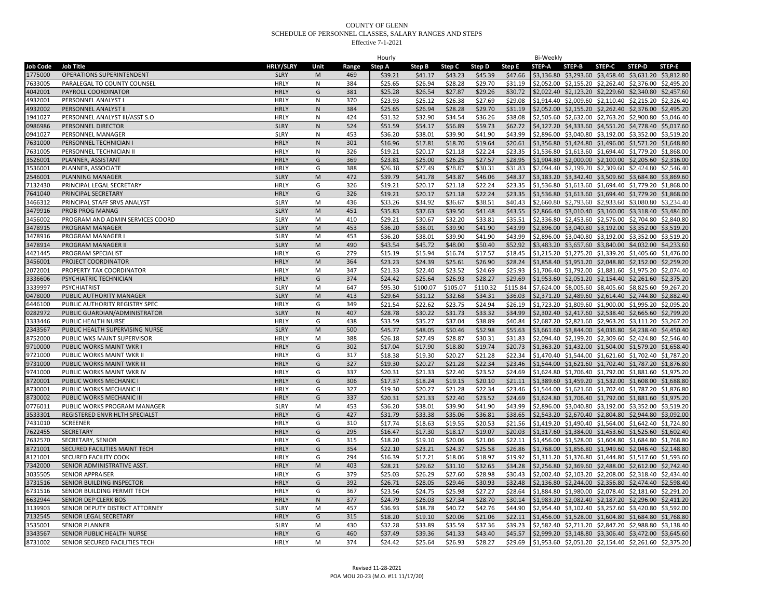|                 |                                  |                  |           |       | Hourly  |          |          |          |          | Bi-Weekly |                                                                |               |               |        |
|-----------------|----------------------------------|------------------|-----------|-------|---------|----------|----------|----------|----------|-----------|----------------------------------------------------------------|---------------|---------------|--------|
| <b>Job Code</b> | <b>Job Title</b>                 | <b>HRLY/SLRY</b> | Unit      | Range | Step A  | Step B   | Step C   | Step D   | Step E   | STEP-A    | STEP-B                                                         | <b>STEP-C</b> | <b>STEP-D</b> | STEP-E |
| 1775000         | OPERATIONS SUPERINTENDENT        | <b>SLRY</b>      | M         | 469   | \$39.21 | \$41.17  | \$43.23  | \$45.39  | \$47.66  |           | \$3,136.80 \$3,293.60 \$3,458.40 \$3,631.20 \$3,812.80         |               |               |        |
| 7633005         | PARALEGAL TO COUNTY COUNSEL      | <b>HRLY</b>      | N         | 384   | \$25.65 | \$26.94  | \$28.28  | \$29.70  | \$31.19  |           | \$2,052.00 \$2,155.20 \$2,262.40 \$2,376.00 \$2,495.20         |               |               |        |
| 4042001         | PAYROLL COORDINATOR              | <b>HRLY</b>      | G         | 381   | \$25.28 | \$26.54  | \$27.87  | \$29.26  | \$30.72  |           | \$2,022.40 \$2,123.20 \$2,229.60 \$2,340.80 \$2,457.60         |               |               |        |
| 4932001         | PERSONNEL ANALYST I              | <b>HRLY</b>      | N         | 370   | \$23.93 | \$25.12  | \$26.38  | \$27.69  | \$29.08  |           | \$1,914.40 \$2,009.60 \$2,110.40 \$2,215.20 \$2,326.40         |               |               |        |
| 4932002         | PERSONNEL ANALYST II             | <b>HRLY</b>      | ${\sf N}$ | 384   | \$25.65 | \$26.94  | \$28.28  | \$29.70  | \$31.19  |           | \$2,052.00 \$2,155.20 \$2,262.40 \$2,376.00 \$2,495.20         |               |               |        |
| 1941027         | PERSONNEL ANALYST III/ASST S.O   | <b>HRLY</b>      | N         | 424   | \$31.32 | \$32.90  | \$34.54  | \$36.26  | \$38.08  |           | \$2,505.60 \$2,632.00 \$2,763.20 \$2,900.80 \$3,046.40         |               |               |        |
| 0986986         | PERSONNEL DIRECTOR               | <b>SLRY</b>      | ${\sf N}$ | 524   | \$51.59 | \$54.17  | \$56.89  | \$59.73  | \$62.72  |           | \$4,127.20 \$4,333.60 \$4,551.20 \$4,778.40 \$5,017.60         |               |               |        |
| 0941027         | PERSONNEL MANAGER                | <b>SLRY</b>      | N         | 453   | \$36.20 | \$38.01  | \$39.90  | \$41.90  | \$43.99  |           | \$2,896.00 \$3,040.80 \$3,192.00 \$3,352.00 \$3,519.20         |               |               |        |
|                 |                                  |                  |           |       |         |          |          | \$19.64  |          |           |                                                                |               |               |        |
| 7631000         | PERSONNEL TECHNICIAN I           | <b>HRLY</b>      | N         | 301   | \$16.96 | \$17.81  | \$18.70  |          | \$20.61  |           | \$1,356.80 \$1,424.80 \$1,496.00 \$1,571.20 \$1,648.80         |               |               |        |
| 7631005         | PERSONNEL TECHNICIAN II          | <b>HRLY</b>      | N         | 326   | \$19.21 | \$20.17  | \$21.18  | \$22.24  | \$23.35  |           | \$1,536.80 \$1,613.60 \$1,694.40 \$1,779.20 \$1,868.00         |               |               |        |
| 3526001         | PLANNER, ASSISTANT               | <b>HRLY</b>      | G         | 369   | \$23.81 | \$25.00  | \$26.25  | \$27.57  | \$28.95  |           | \$1,904.80 \$2,000.00 \$2,100.00 \$2,205.60 \$2,316.00         |               |               |        |
| 3536001         | PLANNER, ASSOCIATE               | <b>HRLY</b>      | G         | 388   | \$26.18 | \$27.49  | \$28.87  | \$30.31  | \$31.83  |           | \$2,094.40 \$2,199.20 \$2,309.60 \$2,424.80 \$2,546.40         |               |               |        |
| 2546001         | PLANNING MANAGER                 | <b>SLRY</b>      | M         | 472   | \$39.79 | \$41.78  | \$43.87  | \$46.06  | \$48.37  |           | \$3,183.20 \$3,342.40 \$3,509.60 \$3,684.80 \$3,869.60         |               |               |        |
| 7132430         | PRINCIPAL LEGAL SECRETARY        | <b>HRLY</b>      | G         | 326   | \$19.21 | \$20.17  | \$21.18  | \$22.24  | \$23.35  |           | \$1,536.80 \$1,613.60 \$1,694.40 \$1,779.20 \$1,868.00         |               |               |        |
| 7641040         | PRINCIPAL SECRETARY              | <b>HRLY</b>      | G         | 326   | \$19.21 | \$20.17  | \$21.18  | \$22.24  | \$23.35  |           | \$1,536.80 \$1,613.60 \$1,694.40 \$1,779.20 \$1,868.00         |               |               |        |
| 3466312         | PRINCIPAL STAFF SRVS ANALYST     | <b>SLRY</b>      | M         | 436   | \$33.26 | \$34.92  | \$36.67  | \$38.51  | \$40.43  |           | \$2,660.80 \$2,793.60 \$2,933.60 \$3,080.80 \$3,234.40         |               |               |        |
| 3479916         | PROB PROG MANAG                  | <b>SLRY</b>      | M         | 451   | \$35.83 | \$37.63  | \$39.50  | \$41.48  | \$43.55  |           | \$2,866.40 \$3,010.40 \$3,160.00 \$3,318.40 \$3,484.00         |               |               |        |
| 3456002         | PROGRAM AND ADMIN SERVICES COORD | <b>SLRY</b>      | M         | 410   | \$29.21 | \$30.67  | \$32.20  | \$33.81  | \$35.51  |           | \$2,336.80 \$2,453.60 \$2,576.00 \$2,704.80 \$2,840.80         |               |               |        |
| 3478915         | PROGRAM MANAGER                  | <b>SLRY</b>      | M         | 453   | \$36.20 | \$38.01  | \$39.90  | \$41.90  | \$43.99  |           | \$2,896.00 \$3,040.80 \$3,192.00 \$3,352.00 \$3,519.20         |               |               |        |
| 3478916         | PROGRAM MANAGER                  | <b>SLRY</b>      | М         | 453   | \$36.20 | \$38.01  | \$39.90  | \$41.90  | \$43.99  |           | \$2,896.00 \$3,040.80 \$3,192.00 \$3,352.00 \$3,519.20         |               |               |        |
| 3478914         | PROGRAM MANAGER II               | <b>SLRY</b>      | M         | 490   | \$43.54 | \$45.72  | \$48.00  | \$50.40  | \$52.92  |           | \$3,483.20 \$3,657.60 \$3,840.00 \$4,032.00 \$4,233.60         |               |               |        |
| 4421445         | PROGRAM SPECIALIST               | <b>HRLY</b>      | G         | 279   | \$15.19 | \$15.94  | \$16.74  | \$17.57  | \$18.45  |           | \$1,215.20 \$1,275.20 \$1,339.20 \$1,405.60 \$1,476.00         |               |               |        |
| 3456001         | PROJECT COORDINATOR              | <b>HRLY</b>      | M         | 364   | \$23.23 | \$24.39  | \$25.61  | \$26.90  | \$28.24  |           | \$1,858.40 \$1,951.20 \$2,048.80 \$2,152.00 \$2,259.20         |               |               |        |
| 2072001         | PROPERTY TAX COORDINATOR         | <b>HRLY</b>      | M         | 347   | \$21.33 | \$22.40  | \$23.52  | \$24.69  | \$25.93  |           | \$1,706.40 \$1,792.00 \$1,881.60 \$1,975.20 \$2,074.40         |               |               |        |
| 3336606         | PSYCHIATRIC TECHNICIAN           | <b>HRLY</b>      | G         | 374   | \$24.42 | \$25.64  | \$26.93  | \$28.27  | \$29.69  |           | \$1,953.60 \$2,051.20 \$2,154.40 \$2,261.60 \$2,375.20         |               |               |        |
| 3339997         | PSYCHIATRIST                     | <b>SLRY</b>      | M         | 647   | \$95.30 | \$100.07 | \$105.07 | \$110.32 | \$115.84 |           | \$7,624.00 \$8,005.60 \$8,405.60 \$8,825.60 \$9,267.20         |               |               |        |
| 0478000         | PUBLIC AUTHORITY MANAGER         | <b>SLRY</b>      | M         | 413   | \$29.64 | \$31.12  | \$32.68  | \$34.31  | \$36.03  |           | \$2,371.20 \$2,489.60 \$2,614.40 \$2,744.80 \$2,882.40         |               |               |        |
| 6446100         | PUBLIC AUTHORITY REGISTRY SPEC   | <b>HRLY</b>      | G         | 349   | \$21.54 | \$22.62  | \$23.75  | \$24.94  | \$26.19  |           | \$1,723.20 \$1,809.60 \$1,900.00 \$1,995.20 \$2,095.20         |               |               |        |
| 0282972         | PUBLIC GUARDIAN/ADMINISTRATOR    | <b>SLRY</b>      | N         | 407   | \$28.78 | \$30.22  | \$31.73  | \$33.32  | \$34.99  |           | \$2,302.40 \$2,417.60 \$2,538.40 \$2,665.60 \$2,799.20         |               |               |        |
|                 | PUBLIC HEALTH NURSE              | <b>HRLY</b>      | G         | 438   | \$33.59 | \$35.27  | \$37.04  | \$38.89  | \$40.84  |           |                                                                |               |               |        |
| 3333446         |                                  | <b>SLRY</b>      | M         | 500   |         | \$48.05  |          |          | \$55.63  |           | \$2,687.20 \$2,821.60 \$2,963.20 \$3,111.20 \$3,267.20         |               |               |        |
| 2343567         | PUBLIC HEALTH SUPERVISING NURSE  |                  |           |       | \$45.77 |          | \$50.46  | \$52.98  |          |           | \$3,661.60 \$3,844.00 \$4,036.80 \$4,238.40 \$4,450.40         |               |               |        |
| 8752000         | PUBLIC WKS MAINT SUPERVISOR      | <b>HRLY</b>      | М         | 388   | \$26.18 | \$27.49  | \$28.87  | \$30.31  | \$31.83  |           | \$2,094.40 \$2,199.20 \$2,309.60 \$2,424.80 \$2,546.40         |               |               |        |
| 9710000         | PUBLIC WORKS MAINT WKR           | <b>HRLY</b>      | G         | 302   | \$17.04 | \$17.90  | \$18.80  | \$19.74  | \$20.73  |           | \$1,363.20 \$1,432.00 \$1,504.00 \$1,579.20 \$1,658.40         |               |               |        |
| 9721000         | PUBLIC WORKS MAINT WKR II        | <b>HRLY</b>      | G         | 317   | \$18.38 | \$19.30  | \$20.27  | \$21.28  | \$22.34  |           | \$1,470.40 \$1,544.00 \$1,621.60 \$1,702.40 \$1,787.20         |               |               |        |
| 9731000         | PUBLIC WORKS MAINT WKR III       | <b>HRLY</b>      | G         | 327   | \$19.30 | \$20.27  | \$21.28  | \$22.34  | \$23.46  |           | \$1,544.00 \$1,621.60 \$1,702.40 \$1,787.20 \$1,876.80         |               |               |        |
| 9741000         | PUBLIC WORKS MAINT WKR IV        | <b>HRLY</b>      | G         | 337   | \$20.31 | \$21.33  | \$22.40  | \$23.52  | \$24.69  |           | \$1,624.80 \$1,706.40 \$1,792.00 \$1,881.60 \$1,975.20         |               |               |        |
| 8720001         | PUBLIC WORKS MECHANIC I          | <b>HRLY</b>      | G         | 306   | \$17.37 | \$18.24  | \$19.15  | \$20.10  | \$21.11  |           | \$1,389.60 \$1,459.20 \$1,532.00 \$1,608.00 \$1,688.80         |               |               |        |
| 8730001         | PUBLIC WORKS MECHANIC II         | <b>HRLY</b>      | G         | 327   | \$19.30 | \$20.27  | \$21.28  | \$22.34  | \$23.46  |           | \$1,544.00 \$1,621.60 \$1,702.40 \$1,787.20 \$1,876.80         |               |               |        |
| 8730002         | PUBLIC WORKS MECHANIC II         | <b>HRLY</b>      | G         | 337   | \$20.31 | \$21.33  | \$22.40  | \$23.52  | \$24.69  |           | \$1,624.80 \$1,706.40 \$1,792.00 \$1,881.60 \$1,975.20         |               |               |        |
| 0776011         | PUBLIC WORKS PROGRAM MANAGER     | <b>SLRY</b>      | M         | 453   | \$36.20 | \$38.01  | \$39.90  | \$41.90  | \$43.99  |           | \$2,896.00 \$3,040.80 \$3,192.00 \$3,352.00 \$3,519.20         |               |               |        |
| 3533301         | REGISTERED ENVR HLTH SPECIALST   | <b>HRLY</b>      | G         | 427   | \$31.79 | \$33.38  | \$35.06  | \$36.81  | \$38.65  |           | \$2,543.20 \$2,670.40 \$2,804.80 \$2,944.80 \$3,092.00         |               |               |        |
| 7431010         | <b>SCREENER</b>                  | <b>HRLY</b>      | G         | 310   | \$17.74 | \$18.63  | \$19.55  | \$20.53  | \$21.56  |           | \$1,419.20 \$1,490.40 \$1,564.00 \$1,642.40 \$1,724.80         |               |               |        |
| 7622455         | SECRETARY                        | <b>HRLY</b>      | G         | 295   | \$16.47 | \$17.30  | \$18.17  | \$19.07  | \$20.03  |           | \$1,317.60 \$1,384.00 \$1,453.60 \$1,525.60 \$1,602.40         |               |               |        |
| 7632570         | SECRETARY, SENIOR                | <b>HRLY</b>      | G         | 315   | \$18.20 | \$19.10  | \$20.06  | \$21.06  | \$22.11  |           | \$1,456.00 \$1,528.00 \$1,604.80 \$1,684.80 \$1,768.80         |               |               |        |
| 8721001         | SECURED FACILITIES MAINT TECH    | <b>HRLY</b>      | G         | 354   | \$22.10 | \$23.21  | \$24.37  | \$25.58  | \$26.86  |           | \$1,768.00 \$1,856.80 \$1,949.60 \$2,046.40 \$2,148.80         |               |               |        |
| 8121001         | SECURED FACILITY COOK            | <b>HRLY</b>      | G         | 294   | \$16.39 | \$17.21  | \$18.06  | \$18.97  | \$19.92  |           | \$1,311.20 \$1,376.80 \$1,444.80 \$1,517.60 \$1,593.60         |               |               |        |
| 7342000         | SENIOR ADMINISTRATIVE ASST.      | <b>HRLY</b>      | M         | 403   | \$28.21 | \$29.62  | \$31.10  | \$32.65  | \$34.28  |           | \$2,256.80 \$2,369.60 \$2,488.00 \$2,612.00 \$2,742.40         |               |               |        |
| 3035505         | <b>SENIOR APPRAISER</b>          | <b>HRLY</b>      | G         | 379   | \$25.03 | \$26.29  | \$27.60  | \$28.98  | \$30.43  |           | \$2,002.40 \$2,103.20 \$2,208.00 \$2,318.40 \$2,434.40         |               |               |        |
| 3731516         | SENIOR BUILDING INSPECTOR        | <b>HRLY</b>      | G         | 392   | \$26.71 | \$28.05  | \$29.46  | \$30.93  | \$32.48  |           | \$2,136.80 \$2,244.00 \$2,356.80 \$2,474.40 \$2,598.40         |               |               |        |
| 6731516         | SENIOR BUILDING PERMIT TECH      | <b>HRLY</b>      | G         | 367   | \$23.56 | \$24.75  | \$25.98  | \$27.27  | \$28.64  |           | \$1,884.80 \$1,980.00 \$2,078.40 \$2,181.60 \$2,291.20         |               |               |        |
| 6632944         | SENIOR DEP CLERK BOS             | <b>HRLY</b>      | N         | 377   | \$24.79 | \$26.03  | \$27.34  | \$28.70  | \$30.14  |           | \$1,983.20 \$2,082.40 \$2,187.20 \$2,296.00 \$2,411.20         |               |               |        |
| 3139903         | SENIOR DEPUTY DISTRICT ATTORNEY  | <b>SLRY</b>      | M         | 457   | \$36.93 | \$38.78  | \$40.72  | \$42.76  | \$44.90  |           | \$2,954.40 \$3,102.40 \$3,257.60 \$3,420.80 \$3,592.00         |               |               |        |
| 7132545         | SENIOR LEGAL SECRETARY           | <b>HRLY</b>      | G         | 315   | \$18.20 | \$19.10  | \$20.06  | \$21.06  | \$22.11  |           | \$1,456.00 \$1,528.00 \$1,604.80 \$1,684.80 \$1,768.80         |               |               |        |
| 3535001         | <b>SENIOR PLANNER</b>            | <b>SLRY</b>      | M         | 430   | \$32.28 | \$33.89  | \$35.59  | \$37.36  | \$39.23  |           | \$2,582.40 \$2,711.20 \$2,847.20 \$2,988.80 \$3,138.40         |               |               |        |
| 3343567         | SENIOR PUBLIC HEALTH NURSE       | <b>HRLY</b>      | G         | 460   | \$37.49 | \$39.36  | \$41.33  | \$43.40  | \$45.57  |           | \$2,999.20 \$3,148.80 \$3,306.40 \$3,472.00 \$3,645.60         |               |               |        |
| 8731002         | SENIOR SECURED FACILITIES TECH   | <b>HRLY</b>      | M         | 374   | \$24.42 | \$25.64  | \$26.93  | \$28.27  |          |           | \$29.69 \$1,953.60 \$2,051.20 \$2,154.40 \$2,261.60 \$2,375.20 |               |               |        |
|                 |                                  |                  |           |       |         |          |          |          |          |           |                                                                |               |               |        |